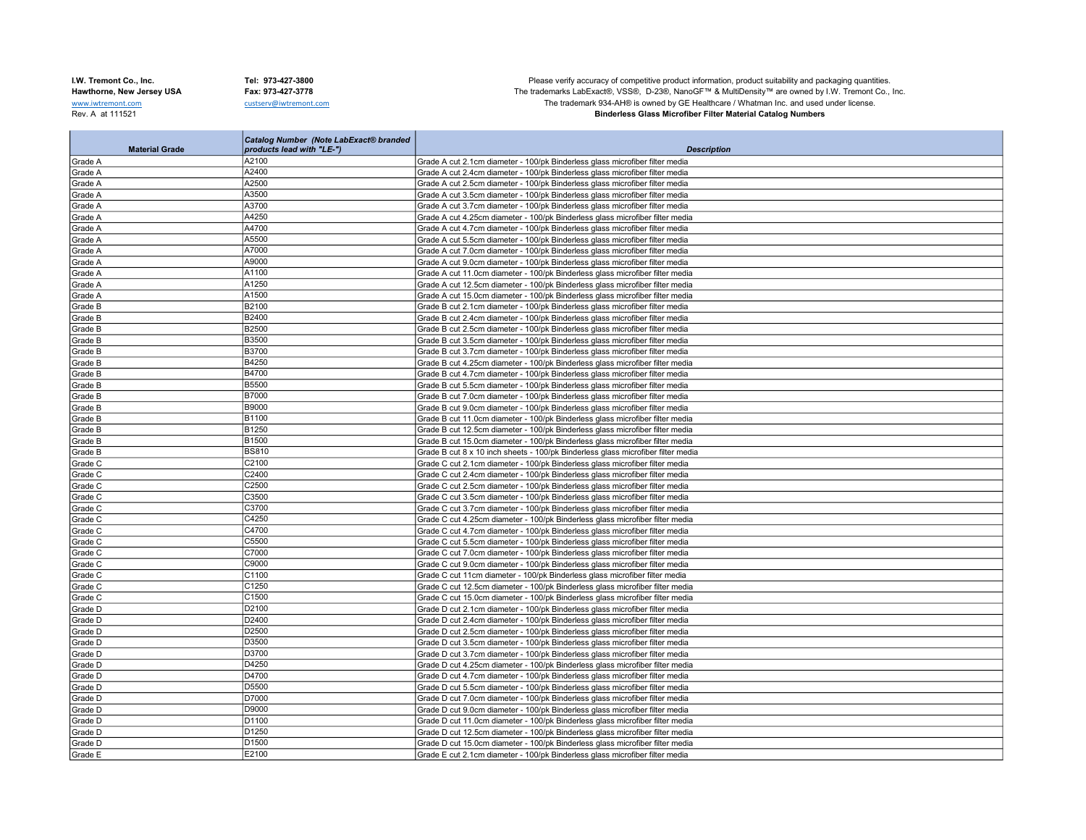**College** 

I.W. Tremont Co., Inc. Tel: 973-427-3800 Tel: 973-427-3800 Please verify accuracy of competitive product information, product suitability and packaging quantities.<br>Hawthorne, New Jersey USA Fax: 973-427-3778 Fax: 973-427-Hawthorne, New Jersey USA Fax: 973-427-3778 Fax: 973-427-3778 The trademarks LabExact®, VSS®, D-23®, NanoGF™ & MultiDensity™ are owned by I.W. Tremont Co., Inc.<br>We are the trademarks LabExact®, VSS®, D-23®, NanoGF™ & Mult www.iwtremont.com custserv@iwtremont.com custserv@iwtremont.com custserv@iwtremont.com custserv@iwtremont.com custserv@iwtremont.com custserv@iwtremont.com custserv@iwtremont.com custserv@iwtremont.com custserv@iwtremont.c **Binderless Glass Microfiber Filter Material Catalog Numbers** 

|                       | Catalog Number (Note LabExact® branded |                                                                                  |
|-----------------------|----------------------------------------|----------------------------------------------------------------------------------|
| <b>Material Grade</b> | products lead with "LE-")              | <b>Description</b>                                                               |
| Grade A               | A2100                                  | Grade A cut 2.1cm diameter - 100/pk Binderless glass microfiber filter media     |
| Grade A               | A2400                                  | Grade A cut 2.4cm diameter - 100/pk Binderless glass microfiber filter media     |
| Grade A               | A2500                                  | Grade A cut 2.5cm diameter - 100/pk Binderless glass microfiber filter media     |
| Grade A               | A3500                                  | Grade A cut 3.5cm diameter - 100/pk Binderless glass microfiber filter media     |
| Grade A               | A3700                                  | Grade A cut 3.7cm diameter - 100/pk Binderless glass microfiber filter media     |
| Grade A               | A4250                                  | Grade A cut 4.25cm diameter - 100/pk Binderless glass microfiber filter media    |
| Grade A               | A4700                                  | Grade A cut 4.7cm diameter - 100/pk Binderless glass microfiber filter media     |
| Grade A               | A5500                                  | Grade A cut 5.5cm diameter - 100/pk Binderless glass microfiber filter media     |
| Grade A               | A7000                                  | Grade A cut 7.0cm diameter - 100/pk Binderless glass microfiber filter media     |
| Grade A               | A9000                                  | Grade A cut 9.0cm diameter - 100/pk Binderless glass microfiber filter media     |
| Grade A               | A1100                                  | Grade A cut 11.0cm diameter - 100/pk Binderless glass microfiber filter media    |
| Grade A               | A1250                                  | Grade A cut 12.5cm diameter - 100/pk Binderless glass microfiber filter media    |
| Grade A               | A1500                                  | Grade A cut 15.0cm diameter - 100/pk Binderless glass microfiber filter media    |
| Grade B               | B2100                                  | Grade B cut 2.1cm diameter - 100/pk Binderless glass microfiber filter media     |
| Grade B               | B2400                                  | Grade B cut 2.4cm diameter - 100/pk Binderless glass microfiber filter media     |
| Grade B               | <b>B2500</b>                           | Grade B cut 2.5cm diameter - 100/pk Binderless glass microfiber filter media     |
| Grade B               | <b>B3500</b>                           | Grade B cut 3.5cm diameter - 100/pk Binderless glass microfiber filter media     |
| Grade B               | <b>B3700</b>                           | Grade B cut 3.7cm diameter - 100/pk Binderless glass microfiber filter media     |
| Grade B               | B4250                                  | Grade B cut 4.25cm diameter - 100/pk Binderless glass microfiber filter media    |
| Grade B               | <b>B4700</b>                           | Grade B cut 4.7cm diameter - 100/pk Binderless glass microfiber filter media     |
| Grade B               | <b>B5500</b>                           | Grade B cut 5.5cm diameter - 100/pk Binderless glass microfiber filter media     |
| Grade B               | <b>B7000</b>                           | Grade B cut 7.0cm diameter - 100/pk Binderless glass microfiber filter media     |
| Grade B               | <b>B9000</b>                           | Grade B cut 9.0cm diameter - 100/pk Binderless glass microfiber filter media     |
| Grade B               | B1100                                  | Grade B cut 11.0cm diameter - 100/pk Binderless glass microfiber filter media    |
| Grade B               | B1250                                  | Grade B cut 12.5cm diameter - 100/pk Binderless glass microfiber filter media    |
| Grade B               | <b>B1500</b>                           | Grade B cut 15.0cm diameter - 100/pk Binderless glass microfiber filter media    |
| Grade B               | <b>BS810</b>                           | Grade B cut 8 x 10 inch sheets - 100/pk Binderless glass microfiber filter media |
| Grade C               | C2100                                  | Grade C cut 2.1cm diameter - 100/pk Binderless glass microfiber filter media     |
| Grade C               | C2400                                  | Grade C cut 2.4cm diameter - 100/pk Binderless glass microfiber filter media     |
| Grade C               | C2500                                  | Grade C cut 2.5cm diameter - 100/pk Binderless glass microfiber filter media     |
| Grade C               | C3500                                  | Grade C cut 3.5cm diameter - 100/pk Binderless glass microfiber filter media     |
| Grade C               | C3700                                  | Grade C cut 3.7cm diameter - 100/pk Binderless glass microfiber filter media     |
| Grade C               | C4250                                  | Grade C cut 4.25cm diameter - 100/pk Binderless glass microfiber filter media    |
| Grade C               | C4700                                  | Grade C cut 4.7cm diameter - 100/pk Binderless glass microfiber filter media     |
| Grade C               | C5500                                  | Grade C cut 5.5cm diameter - 100/pk Binderless glass microfiber filter media     |
| Grade C               | C7000                                  | Grade C cut 7.0cm diameter - 100/pk Binderless glass microfiber filter media     |
| Grade C               | C9000                                  | Grade C cut 9.0cm diameter - 100/pk Binderless glass microfiber filter media     |
| Grade C               | C1100                                  | Grade C cut 11cm diameter - 100/pk Binderless glass microfiber filter media      |
| Grade C               | C1250                                  | Grade C cut 12.5cm diameter - 100/pk Binderless glass microfiber filter media    |
| Grade C               | C1500                                  | Grade C cut 15.0cm diameter - 100/pk Binderless glass microfiber filter media    |
| Grade D               | D2100                                  | Grade D cut 2.1cm diameter - 100/pk Binderless glass microfiber filter media     |
| Grade D               | D2400                                  | Grade D cut 2.4cm diameter - 100/pk Binderless glass microfiber filter media     |
| Grade D               | D2500                                  | Grade D cut 2.5cm diameter - 100/pk Binderless glass microfiber filter media     |
| Grade D               | D3500                                  | Grade D cut 3.5cm diameter - 100/pk Binderless glass microfiber filter media     |
| Grade D               | D3700                                  | Grade D cut 3.7cm diameter - 100/pk Binderless glass microfiber filter media     |
| Grade D               | D4250                                  | Grade D cut 4.25cm diameter - 100/pk Binderless glass microfiber filter media    |
| Grade D               | D4700                                  | Grade D cut 4.7cm diameter - 100/pk Binderless glass microfiber filter media     |
| Grade D               | D5500                                  | Grade D cut 5.5cm diameter - 100/pk Binderless glass microfiber filter media     |
| Grade D               | D7000                                  | Grade D cut 7.0cm diameter - 100/pk Binderless glass microfiber filter media     |
| Grade D               | D9000                                  | Grade D cut 9.0cm diameter - 100/pk Binderless glass microfiber filter media     |
| Grade D               | D1100                                  | Grade D cut 11.0cm diameter - 100/pk Binderless glass microfiber filter media    |
| Grade D               | D <sub>1250</sub>                      | Grade D cut 12.5cm diameter - 100/pk Binderless glass microfiber filter media    |
| Grade D               | D <sub>1500</sub>                      | Grade D cut 15.0cm diameter - 100/pk Binderless glass microfiber filter media    |
| Grade E               | E2100                                  | Grade E cut 2.1cm diameter - 100/pk Binderless glass microfiber filter media     |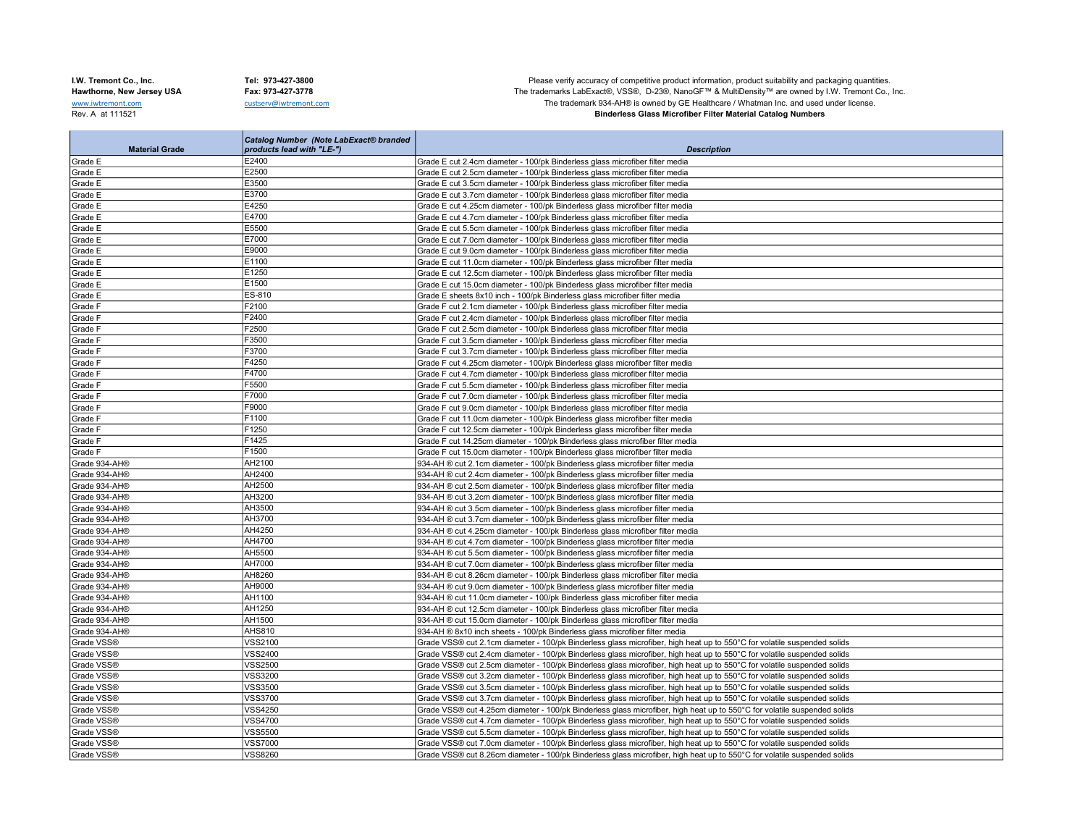**College** 

I.W. Tremont Co., Inc. Tel: 973-427-3800 Tel: 973-427-3800 Please verify accuracy of competitive product information, product suitability and packaging quantities.<br>Hawthorne, New Jersey USA Fax: 973-427-3778 Fax: 973-427-Hawthorne, New Jersey USA Fax: 973-427-3778 Fax: 973-427-3778 The trademarks LabExact®, VSS®, D-23®, NanoGF™ & MultiDensity™ are owned by I.W. Tremont Co., Inc.<br>We are only of the trademarks LabExact®, VSS®, D-23®, NanoGF www.iwtremont.com custserv@iwtremont.com custserv@iwtremont.com custserv@iwtremont.com custserv@iwtremont.com custserv@iwtremont.com custserv@iwtremont.com custserv@iwtremont.com custserv@iwtremont.com custserv@iwtremont.c **Binderless Glass Microfiber Filter Material Catalog Numbers** 

|               | <b>Material Grade</b> | <b>Catalog Number (Note LabExact® branded</b><br>products lead with "LE-") | <b>Description</b>                                                                                                       |
|---------------|-----------------------|----------------------------------------------------------------------------|--------------------------------------------------------------------------------------------------------------------------|
| Grade E       |                       | E2400                                                                      | Grade E cut 2.4cm diameter - 100/pk Binderless glass microfiber filter media                                             |
| Grade E       |                       | E2500                                                                      | Grade E cut 2.5cm diameter - 100/pk Binderless glass microfiber filter media                                             |
| Grade E       |                       | E3500                                                                      | Grade E cut 3.5cm diameter - 100/pk Binderless glass microfiber filter media                                             |
| Grade E       |                       | E3700                                                                      | Grade E cut 3.7cm diameter - 100/pk Binderless glass microfiber filter media                                             |
| Grade E       |                       | E4250                                                                      | Grade E cut 4.25cm diameter - 100/pk Binderless glass microfiber filter media                                            |
| Grade E       |                       | E4700                                                                      | Grade E cut 4.7cm diameter - 100/pk Binderless glass microfiber filter media                                             |
| Grade E       |                       | E5500                                                                      | Grade E cut 5.5cm diameter - 100/pk Binderless glass microfiber filter media                                             |
| Grade E       |                       | E7000                                                                      | Grade E cut 7.0cm diameter - 100/pk Binderless glass microfiber filter media                                             |
| Grade E       |                       | E9000                                                                      | Grade E cut 9.0cm diameter - 100/pk Binderless glass microfiber filter media                                             |
| Grade E       |                       | E1100                                                                      | Grade E cut 11.0cm diameter - 100/pk Binderless glass microfiber filter media                                            |
| Grade E       |                       | E1250                                                                      | Grade E cut 12.5cm diameter - 100/pk Binderless glass microfiber filter media                                            |
| Grade E       |                       | E1500                                                                      | Grade E cut 15.0cm diameter - 100/pk Binderless glass microfiber filter media                                            |
| Grade E       |                       | ES-810                                                                     | Grade E sheets 8x10 inch - 100/pk Binderless glass microfiber filter media                                               |
| Grade F       |                       | F2100                                                                      | Grade F cut 2.1cm diameter - 100/pk Binderless glass microfiber filter media                                             |
| Grade F       |                       | F2400                                                                      | Grade F cut 2.4cm diameter - 100/pk Binderless glass microfiber filter media                                             |
| Grade F       |                       | F2500                                                                      | Grade F cut 2.5cm diameter - 100/pk Binderless glass microfiber filter media                                             |
| Grade F       |                       | F3500                                                                      | Grade F cut 3.5cm diameter - 100/pk Binderless glass microfiber filter media                                             |
| Grade F       |                       | F3700                                                                      | Grade F cut 3.7cm diameter - 100/pk Binderless glass microfiber filter media                                             |
| Grade F       |                       | F4250                                                                      | Grade F cut 4.25cm diameter - 100/pk Binderless glass microfiber filter media                                            |
| Grade F       |                       | F4700                                                                      | Grade F cut 4.7cm diameter - 100/pk Binderless glass microfiber filter media                                             |
| Grade F       |                       | F5500                                                                      | Grade F cut 5.5cm diameter - 100/pk Binderless glass microfiber filter media                                             |
| Grade F       |                       | F7000                                                                      | Grade F cut 7.0cm diameter - 100/pk Binderless glass microfiber filter media                                             |
| Grade F       |                       | F9000                                                                      | Grade F cut 9.0cm diameter - 100/pk Binderless glass microfiber filter media                                             |
| Grade F       |                       | F1100                                                                      | Grade F cut 11.0cm diameter - 100/pk Binderless glass microfiber filter media                                            |
| Grade F       |                       | F1250                                                                      | Grade F cut 12.5cm diameter - 100/pk Binderless glass microfiber filter media                                            |
| Grade F       |                       | F1425                                                                      | Grade F cut 14.25cm diameter - 100/pk Binderless glass microfiber filter media                                           |
| Grade F       |                       | F1500                                                                      | Grade F cut 15.0cm diameter - 100/pk Binderless glass microfiber filter media                                            |
| Grade 934-AH® |                       | AH2100                                                                     | 934-AH ® cut 2.1cm diameter - 100/pk Binderless glass microfiber filter media                                            |
| Grade 934-AH® |                       | AH2400                                                                     | 934-AH ® cut 2.4cm diameter - 100/pk Binderless glass microfiber filter media                                            |
| Grade 934-AH® |                       | AH2500                                                                     | 934-AH ® cut 2.5cm diameter - 100/pk Binderless glass microfiber filter media                                            |
| Grade 934-AH® |                       | AH3200                                                                     | 934-AH ® cut 3.2cm diameter - 100/pk Binderless glass microfiber filter media                                            |
| Grade 934-AH® |                       | AH3500                                                                     | 934-AH ® cut 3.5cm diameter - 100/pk Binderless glass microfiber filter media                                            |
| Grade 934-AH® |                       | AH3700                                                                     | 934-AH ® cut 3.7cm diameter - 100/pk Binderless glass microfiber filter media                                            |
| Grade 934-AH® |                       | AH4250                                                                     | 934-AH ® cut 4.25cm diameter - 100/pk Binderless glass microfiber filter media                                           |
| Grade 934-AH® |                       | AH4700                                                                     | 934-AH ® cut 4.7cm diameter - 100/pk Binderless glass microfiber filter media                                            |
| Grade 934-AH® |                       | AH5500                                                                     | 934-AH ® cut 5.5cm diameter - 100/pk Binderless glass microfiber filter media                                            |
| Grade 934-AH® |                       | AH7000                                                                     | 934-AH ® cut 7.0cm diameter - 100/pk Binderless glass microfiber filter media                                            |
| Grade 934-AH® |                       | AH8260                                                                     | 934-AH ® cut 8.26cm diameter - 100/pk Binderless glass microfiber filter media                                           |
| Grade 934-AH® |                       | AH9000                                                                     | 934-AH ® cut 9.0cm diameter - 100/pk Binderless glass microfiber filter media                                            |
| Grade 934-AH® |                       | AH1100                                                                     | 934-AH ® cut 11.0cm diameter - 100/pk Binderless glass microfiber filter media                                           |
| Grade 934-AH® |                       | AH1250                                                                     | 934-AH ® cut 12.5cm diameter - 100/pk Binderless glass microfiber filter media                                           |
| Grade 934-AH® |                       | AH1500                                                                     | 934-AH ® cut 15.0cm diameter - 100/pk Binderless glass microfiber filter media                                           |
| Grade 934-AH® |                       | <b>AHS810</b>                                                              | 934-AH ® 8x10 inch sheets - 100/pk Binderless glass microfiber filter media                                              |
| Grade VSS®    |                       | <b>VSS2100</b>                                                             | Grade VSS® cut 2.1cm diameter - 100/pk Binderless glass microfiber, high heat up to 550°C for volatile suspended solids  |
| Grade VSS®    |                       | <b>VSS2400</b>                                                             | Grade VSS® cut 2.4cm diameter - 100/pk Binderless glass microfiber, high heat up to 550°C for volatile suspended solids  |
| Grade VSS®    |                       | <b>VSS2500</b>                                                             | Grade VSS® cut 2.5cm diameter - 100/pk Binderless glass microfiber, high heat up to 550°C for volatile suspended solids  |
| Grade VSS®    |                       | <b>VSS3200</b>                                                             | Grade VSS® cut 3.2cm diameter - 100/pk Binderless glass microfiber, high heat up to 550°C for volatile suspended solids  |
| Grade VSS®    |                       | <b>VSS3500</b>                                                             | Grade VSS® cut 3.5cm diameter - 100/pk Binderless glass microfiber, high heat up to 550°C for volatile suspended solids  |
| Grade VSS®    |                       | <b>VSS3700</b>                                                             | Grade VSS® cut 3.7cm diameter - 100/pk Binderless glass microfiber, high heat up to 550°C for volatile suspended solids  |
| Grade VSS®    |                       | <b>VSS4250</b>                                                             | Grade VSS® cut 4.25cm diameter - 100/pk Binderless glass microfiber, high heat up to 550°C for volatile suspended solids |
| Grade VSS®    |                       | <b>VSS4700</b>                                                             | Grade VSS® cut 4.7cm diameter - 100/pk Binderless glass microfiber, high heat up to 550°C for volatile suspended solids  |
| Grade VSS®    |                       | <b>VSS5500</b>                                                             | Grade VSS® cut 5.5cm diameter - 100/pk Binderless glass microfiber, high heat up to 550°C for volatile suspended solids  |
| Grade VSS®    |                       | <b>VSS7000</b>                                                             | Grade VSS® cut 7.0cm diameter - 100/pk Binderless glass microfiber, high heat up to 550°C for volatile suspended solids  |
| Grade VSS®    |                       | <b>VSS8260</b>                                                             | Grade VSS® cut 8.26cm diameter - 100/pk Binderless glass microfiber, high heat up to 550°C for volatile suspended solids |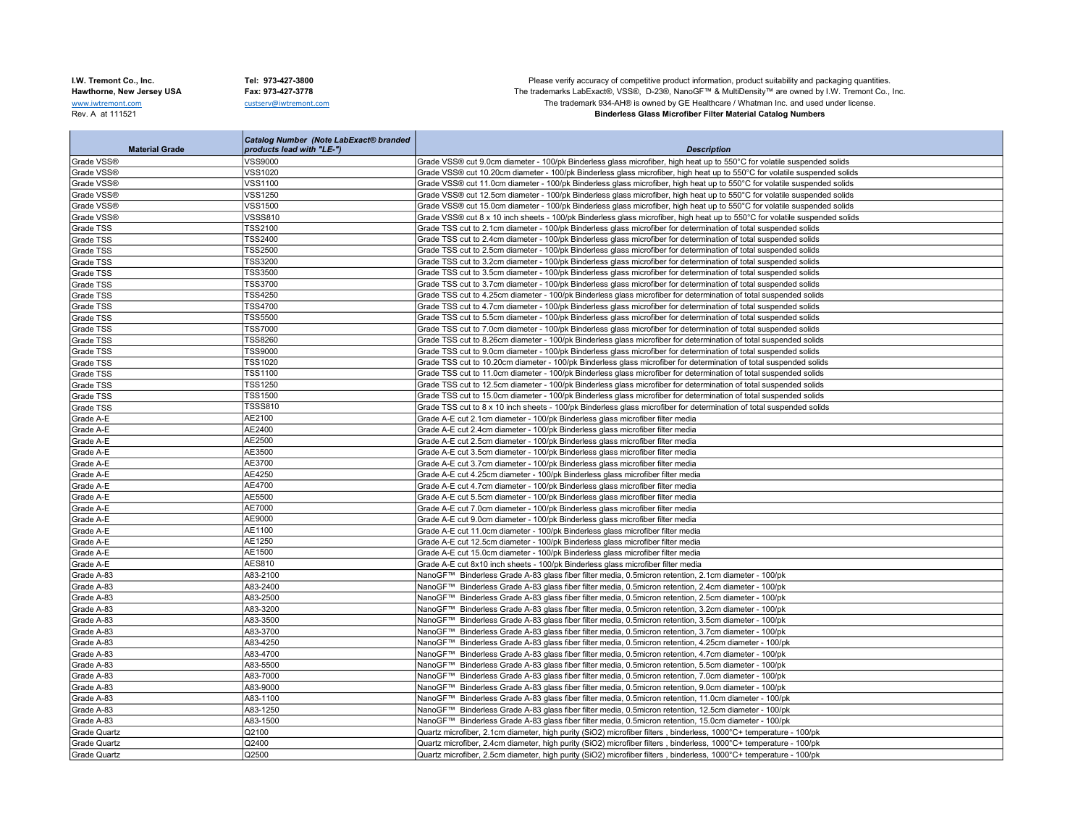I.W. Tremont Co., Inc. Tel: 973-427-3800 Tel: 973-427-3800 Please verify accuracy of competitive product information, product suitability and packaging quantities.<br>Hawthorne, New Jersey USA Fax: 973-427-3778 Fax: 973-427-Hawthorne, New Jersey USA Fax: 973-427-3778 Fax: 973-427-3778 The trademarks LabExact®, VSS®, D-23®, NanoGF™ & MultiDensity™ are owned by I.W. Tremont Co., Inc.<br>We are only of the trademarks LabExact®, VSS®, D-23®, NanoGF www.iwtremont.com custserv@iwtremont.com custserv@iwtremont.com custserv@iwtremont.com custserv@iwtremont.com custserv@iwtremont.com custserv@iwtremont.com custserv@iwtremont.com custserv@iwtremont.com custserv@iwtremont.c **Binderless Glass Microfiber Filter Material Catalog Numbers** 

| Grade VSS®<br><b>VSS9000</b><br>Grade VSS® cut 9.0cm diameter - 100/pk Binderless glass microfiber, high heat up to 550°C for volatile suspended solids<br>Grade VSS®<br><b>VSS1020</b><br>Grade VSS® cut 10.20cm diameter - 100/pk Binderless glass microfiber, high heat up to 550°C for volatile suspended solids<br>Grade VSS®<br>VSS1100<br>Grade VSS® cut 11.0cm diameter - 100/pk Binderless glass microfiber, high heat up to 550°C for volatile suspended solids<br>Grade VSS®<br>Grade VSS® cut 12.5cm diameter - 100/pk Binderless glass microfiber, high heat up to 550°C for volatile suspended solids<br>VSS1250<br>Grade VSS®<br>VSS1500<br>Grade VSS® cut 15.0cm diameter - 100/pk Binderless glass microfiber, high heat up to 550°C for volatile suspended solids<br>Grade VSS®<br>VSSS810<br>Grade VSS® cut 8 x 10 inch sheets - 100/pk Binderless glass microfiber, high heat up to 550°C for volatile suspended solids<br>TSS2100<br>Grade TSS cut to 2.1cm diameter - 100/pk Binderless glass microfiber for determination of total suspended solids<br>Grade TSS<br><b>TSS2400</b><br>Grade TSS cut to 2.4cm diameter - 100/pk Binderless glass microfiber for determination of total suspended solids<br>Grade TSS<br><b>TSS2500</b><br>Grade TSS<br>Grade TSS cut to 2.5cm diameter - 100/pk Binderless glass microfiber for determination of total suspended solids<br>Grade TSS<br><b>TSS3200</b><br>Grade TSS cut to 3.2cm diameter - 100/pk Binderless glass microfiber for determination of total suspended solids<br><b>TSS3500</b><br>Grade TSS<br>Grade TSS cut to 3.5cm diameter - 100/pk Binderless glass microfiber for determination of total suspended solids<br><b>TSS3700</b><br>Grade TSS<br>Grade TSS cut to 3.7cm diameter - 100/pk Binderless glass microfiber for determination of total suspended solids<br>Grade TSS<br><b>TSS4250</b><br>Grade TSS cut to 4.25cm diameter - 100/pk Binderless glass microfiber for determination of total suspended solids<br><b>TSS4700</b><br>Grade TSS<br>Grade TSS cut to 4.7cm diameter - 100/pk Binderless glass microfiber for determination of total suspended solids<br><b>TSS5500</b><br>Grade TSS<br>Grade TSS cut to 5.5cm diameter - 100/pk Binderless glass microfiber for determination of total suspended solids<br><b>TSS7000</b><br>Grade TSS cut to 7.0cm diameter - 100/pk Binderless glass microfiber for determination of total suspended solids<br>Grade TSS<br><b>TSS8260</b><br>Grade TSS<br>Grade TSS cut to 8.26cm diameter - 100/pk Binderless glass microfiber for determination of total suspended solids<br><b>TSS9000</b><br>Grade TSS<br>Grade TSS cut to 9.0cm diameter - 100/pk Binderless glass microfiber for determination of total suspended solids<br><b>TSS1020</b><br>Grade TSS<br>Grade TSS cut to 10.20cm diameter - 100/pk Binderless glass microfiber for determination of total suspended solids<br>TSS1100<br>Grade TSS cut to 11.0cm diameter - 100/pk Binderless glass microfiber for determination of total suspended solids<br>Grade TSS<br><b>TSS1250</b><br>Grade TSS cut to 12.5cm diameter - 100/pk Binderless glass microfiber for determination of total suspended solids<br>Grade TSS<br><b>TSS1500</b><br>Grade TSS cut to 15.0cm diameter - 100/pk Binderless glass microfiber for determination of total suspended solids<br>Grade TSS<br><b>TSSS810</b><br>Grade TSS<br>Grade TSS cut to 8 x 10 inch sheets - 100/pk Binderless glass microfiber for determination of total suspended solids<br>AE2100<br>Grade A-E<br>Grade A-E cut 2.1cm diameter - 100/pk Binderless glass microfiber filter media<br>AE2400<br>Grade A-E<br>Grade A-E cut 2.4cm diameter - 100/pk Binderless glass microfiber filter media<br>AE2500<br>Grade A-E<br>Grade A-E cut 2.5cm diameter - 100/pk Binderless glass microfiber filter media<br>AE3500<br>Grade A-E<br>Grade A-E cut 3.5cm diameter - 100/pk Binderless glass microfiber filter media<br>AE3700<br>Grade A-E<br>Grade A-E cut 3.7cm diameter - 100/pk Binderless glass microfiber filter media<br>AE4250<br>Grade A-E<br>Grade A-E cut 4.25cm diameter - 100/pk Binderless glass microfiber filter media<br>AE4700<br>Grade A-E<br>Grade A-E cut 4.7cm diameter - 100/pk Binderless glass microfiber filter media<br>AE5500<br>Grade A-E<br>Grade A-E cut 5.5cm diameter - 100/pk Binderless glass microfiber filter media<br>Grade A-E<br><b>AE7000</b><br>Grade A-E cut 7.0cm diameter - 100/pk Binderless glass microfiber filter media<br>AE9000<br>Grade A-E<br>Grade A-E cut 9.0cm diameter - 100/pk Binderless glass microfiber filter media<br>AE1100<br>Grade A-E<br>Grade A-E cut 11.0cm diameter - 100/pk Binderless glass microfiber filter media<br>AE1250<br>Grade A-E<br>Grade A-E cut 12.5cm diameter - 100/pk Binderless glass microfiber filter media<br>AE1500<br>Grade A-E<br>Grade A-E cut 15.0cm diameter - 100/pk Binderless glass microfiber filter media<br><b>AES810</b><br>Grade A-E<br>Grade A-E cut 8x10 inch sheets - 100/pk Binderless glass microfiber filter media<br>A83-2100<br>Grade A-83<br>NanoGF™ Binderless Grade A-83 glass fiber filter media, 0.5micron retention, 2.1cm diameter - 100/pk<br>Grade A-83<br>A83-2400<br>NanoGF™ Binderless Grade A-83 glass fiber filter media, 0.5micron retention, 2.4cm diameter - 100/pk<br>A83-2500<br>Grade A-83<br>NanoGF™ Binderless Grade A-83 glass fiber filter media, 0.5micron retention, 2.5cm diameter - 100/pk<br>A83-3200<br>Grade A-83<br>NanoGF™ Binderless Grade A-83 glass fiber filter media, 0.5micron retention, 3.2cm diameter - 100/pk<br>Grade A-83<br>A83-3500<br>NanoGF™ Binderless Grade A-83 glass fiber filter media, 0.5micron retention, 3.5cm diameter - 100/pk<br>Grade A-83<br>A83-3700<br>NanoGF™ Binderless Grade A-83 glass fiber filter media, 0.5micron retention, 3.7cm diameter - 100/pk<br>Grade A-83<br>A83-4250<br>NanoGF™ Binderless Grade A-83 glass fiber filter media, 0.5micron retention, 4.25cm diameter - 100/pk<br>Grade A-83<br>A83-4700<br>NanoGF™ Binderless Grade A-83 glass fiber filter media, 0.5micron retention, 4.7cm diameter - 100/pk<br>Grade A-83<br>A83-5500<br>NanoGF™ Binderless Grade A-83 glass fiber filter media, 0.5micron retention, 5.5cm diameter - 100/pk<br>Grade A-83<br>A83-7000<br>NanoGF™ Binderless Grade A-83 glass fiber filter media, 0.5micron retention, 7.0cm diameter - 100/pk<br>A83-9000<br>Grade A-83<br>NanoGF™ Binderless Grade A-83 glass fiber filter media, 0.5micron retention, 9.0cm diameter - 100/pk<br>Grade A-83<br>A83-1100<br>NanoGF™ Binderless Grade A-83 glass fiber filter media, 0.5micron retention, 11.0cm diameter - 100/pk<br>Grade A-83<br>A83-1250<br>NanoGF™ Binderless Grade A-83 glass fiber filter media, 0.5micron retention, 12.5cm diameter - 100/pk<br>Grade A-83<br>A83-1500<br>NanoGF™ Binderless Grade A-83 glass fiber filter media, 0.5micron retention, 15.0cm diameter - 100/pk | <b>Material Grade</b> | <b>Catalog Number (Note LabExact® branded</b> |                                                                                                                    |
|-----------------------------------------------------------------------------------------------------------------------------------------------------------------------------------------------------------------------------------------------------------------------------------------------------------------------------------------------------------------------------------------------------------------------------------------------------------------------------------------------------------------------------------------------------------------------------------------------------------------------------------------------------------------------------------------------------------------------------------------------------------------------------------------------------------------------------------------------------------------------------------------------------------------------------------------------------------------------------------------------------------------------------------------------------------------------------------------------------------------------------------------------------------------------------------------------------------------------------------------------------------------------------------------------------------------------------------------------------------------------------------------------------------------------------------------------------------------------------------------------------------------------------------------------------------------------------------------------------------------------------------------------------------------------------------------------------------------------------------------------------------------------------------------------------------------------------------------------------------------------------------------------------------------------------------------------------------------------------------------------------------------------------------------------------------------------------------------------------------------------------------------------------------------------------------------------------------------------------------------------------------------------------------------------------------------------------------------------------------------------------------------------------------------------------------------------------------------------------------------------------------------------------------------------------------------------------------------------------------------------------------------------------------------------------------------------------------------------------------------------------------------------------------------------------------------------------------------------------------------------------------------------------------------------------------------------------------------------------------------------------------------------------------------------------------------------------------------------------------------------------------------------------------------------------------------------------------------------------------------------------------------------------------------------------------------------------------------------------------------------------------------------------------------------------------------------------------------------------------------------------------------------------------------------------------------------------------------------------------------------------------------------------------------------------------------------------------------------------------------------------------------------------------------------------------------------------------------------------------------------------------------------------------------------------------------------------------------------------------------------------------------------------------------------------------------------------------------------------------------------------------------------------------------------------------------------------------------------------------------------------------------------------------------------------------------------------------------------------------------------------------------------------------------------------------------------------------------------------------------------------------------------------------------------------------------------------------------------------------------------------------------------------------------------------------------------------------------------------------------------------------------------------------------------------------------------------------------------------------------------------------------------------------------------------------------------------------------------------------------------------------------------------------------------------------------------------------------------------------------------------------------------------------------------------------------------------------------------------------------------------------------------------------------------------------------------------------------------------------------------------------------------------------------------------------------------------------------------------------------------------------------------------------------------------------------------------------------------------------------------------------------------------------------------------------------------------------------------------------------------------------------------------------------------------------------------------------------------------------------------------------------------------------------------------------------------------------------------------------------------------------------------------------------------------------------------------------------------------------------------------------------------------------------------------------------------------------------------------------------------------------------------------------------------------------------------------------------------------------------------------------------------------------------------------------------------------------------------------------------------------------------------------------------------------------------------------------------------------------------------------------------------------------------------------------------------------------------------------------------------------------------------------------------------------------------------------------------------------------------------------------------------------------------------------------------------------------------------------------------------|-----------------------|-----------------------------------------------|--------------------------------------------------------------------------------------------------------------------|
|                                                                                                                                                                                                                                                                                                                                                                                                                                                                                                                                                                                                                                                                                                                                                                                                                                                                                                                                                                                                                                                                                                                                                                                                                                                                                                                                                                                                                                                                                                                                                                                                                                                                                                                                                                                                                                                                                                                                                                                                                                                                                                                                                                                                                                                                                                                                                                                                                                                                                                                                                                                                                                                                                                                                                                                                                                                                                                                                                                                                                                                                                                                                                                                                                                                                                                                                                                                                                                                                                                                                                                                                                                                                                                                                                                                                                                                                                                                                                                                                                                                                                                                                                                                                                                                                                                                                                                                                                                                                                                                                                                                                                                                                                                                                                                                                                                                                                                                                                                                                                                                                                                                                                                                                                                                                                                                                                                                                                                                                                                                                                                                                                                                                                                                                                                                                                                                                                                                                                                                                                                                                                                                                                                                                                                                                                                                                                                                                                                                                                                                                                                                                                                                                                                                                                                                                                                                                                                                                                                                               |                       | products lead with "LE-")                     | <b>Description</b>                                                                                                 |
|                                                                                                                                                                                                                                                                                                                                                                                                                                                                                                                                                                                                                                                                                                                                                                                                                                                                                                                                                                                                                                                                                                                                                                                                                                                                                                                                                                                                                                                                                                                                                                                                                                                                                                                                                                                                                                                                                                                                                                                                                                                                                                                                                                                                                                                                                                                                                                                                                                                                                                                                                                                                                                                                                                                                                                                                                                                                                                                                                                                                                                                                                                                                                                                                                                                                                                                                                                                                                                                                                                                                                                                                                                                                                                                                                                                                                                                                                                                                                                                                                                                                                                                                                                                                                                                                                                                                                                                                                                                                                                                                                                                                                                                                                                                                                                                                                                                                                                                                                                                                                                                                                                                                                                                                                                                                                                                                                                                                                                                                                                                                                                                                                                                                                                                                                                                                                                                                                                                                                                                                                                                                                                                                                                                                                                                                                                                                                                                                                                                                                                                                                                                                                                                                                                                                                                                                                                                                                                                                                                                               |                       |                                               |                                                                                                                    |
|                                                                                                                                                                                                                                                                                                                                                                                                                                                                                                                                                                                                                                                                                                                                                                                                                                                                                                                                                                                                                                                                                                                                                                                                                                                                                                                                                                                                                                                                                                                                                                                                                                                                                                                                                                                                                                                                                                                                                                                                                                                                                                                                                                                                                                                                                                                                                                                                                                                                                                                                                                                                                                                                                                                                                                                                                                                                                                                                                                                                                                                                                                                                                                                                                                                                                                                                                                                                                                                                                                                                                                                                                                                                                                                                                                                                                                                                                                                                                                                                                                                                                                                                                                                                                                                                                                                                                                                                                                                                                                                                                                                                                                                                                                                                                                                                                                                                                                                                                                                                                                                                                                                                                                                                                                                                                                                                                                                                                                                                                                                                                                                                                                                                                                                                                                                                                                                                                                                                                                                                                                                                                                                                                                                                                                                                                                                                                                                                                                                                                                                                                                                                                                                                                                                                                                                                                                                                                                                                                                                               |                       |                                               |                                                                                                                    |
|                                                                                                                                                                                                                                                                                                                                                                                                                                                                                                                                                                                                                                                                                                                                                                                                                                                                                                                                                                                                                                                                                                                                                                                                                                                                                                                                                                                                                                                                                                                                                                                                                                                                                                                                                                                                                                                                                                                                                                                                                                                                                                                                                                                                                                                                                                                                                                                                                                                                                                                                                                                                                                                                                                                                                                                                                                                                                                                                                                                                                                                                                                                                                                                                                                                                                                                                                                                                                                                                                                                                                                                                                                                                                                                                                                                                                                                                                                                                                                                                                                                                                                                                                                                                                                                                                                                                                                                                                                                                                                                                                                                                                                                                                                                                                                                                                                                                                                                                                                                                                                                                                                                                                                                                                                                                                                                                                                                                                                                                                                                                                                                                                                                                                                                                                                                                                                                                                                                                                                                                                                                                                                                                                                                                                                                                                                                                                                                                                                                                                                                                                                                                                                                                                                                                                                                                                                                                                                                                                                                               |                       |                                               |                                                                                                                    |
|                                                                                                                                                                                                                                                                                                                                                                                                                                                                                                                                                                                                                                                                                                                                                                                                                                                                                                                                                                                                                                                                                                                                                                                                                                                                                                                                                                                                                                                                                                                                                                                                                                                                                                                                                                                                                                                                                                                                                                                                                                                                                                                                                                                                                                                                                                                                                                                                                                                                                                                                                                                                                                                                                                                                                                                                                                                                                                                                                                                                                                                                                                                                                                                                                                                                                                                                                                                                                                                                                                                                                                                                                                                                                                                                                                                                                                                                                                                                                                                                                                                                                                                                                                                                                                                                                                                                                                                                                                                                                                                                                                                                                                                                                                                                                                                                                                                                                                                                                                                                                                                                                                                                                                                                                                                                                                                                                                                                                                                                                                                                                                                                                                                                                                                                                                                                                                                                                                                                                                                                                                                                                                                                                                                                                                                                                                                                                                                                                                                                                                                                                                                                                                                                                                                                                                                                                                                                                                                                                                                               |                       |                                               |                                                                                                                    |
|                                                                                                                                                                                                                                                                                                                                                                                                                                                                                                                                                                                                                                                                                                                                                                                                                                                                                                                                                                                                                                                                                                                                                                                                                                                                                                                                                                                                                                                                                                                                                                                                                                                                                                                                                                                                                                                                                                                                                                                                                                                                                                                                                                                                                                                                                                                                                                                                                                                                                                                                                                                                                                                                                                                                                                                                                                                                                                                                                                                                                                                                                                                                                                                                                                                                                                                                                                                                                                                                                                                                                                                                                                                                                                                                                                                                                                                                                                                                                                                                                                                                                                                                                                                                                                                                                                                                                                                                                                                                                                                                                                                                                                                                                                                                                                                                                                                                                                                                                                                                                                                                                                                                                                                                                                                                                                                                                                                                                                                                                                                                                                                                                                                                                                                                                                                                                                                                                                                                                                                                                                                                                                                                                                                                                                                                                                                                                                                                                                                                                                                                                                                                                                                                                                                                                                                                                                                                                                                                                                                               |                       |                                               |                                                                                                                    |
|                                                                                                                                                                                                                                                                                                                                                                                                                                                                                                                                                                                                                                                                                                                                                                                                                                                                                                                                                                                                                                                                                                                                                                                                                                                                                                                                                                                                                                                                                                                                                                                                                                                                                                                                                                                                                                                                                                                                                                                                                                                                                                                                                                                                                                                                                                                                                                                                                                                                                                                                                                                                                                                                                                                                                                                                                                                                                                                                                                                                                                                                                                                                                                                                                                                                                                                                                                                                                                                                                                                                                                                                                                                                                                                                                                                                                                                                                                                                                                                                                                                                                                                                                                                                                                                                                                                                                                                                                                                                                                                                                                                                                                                                                                                                                                                                                                                                                                                                                                                                                                                                                                                                                                                                                                                                                                                                                                                                                                                                                                                                                                                                                                                                                                                                                                                                                                                                                                                                                                                                                                                                                                                                                                                                                                                                                                                                                                                                                                                                                                                                                                                                                                                                                                                                                                                                                                                                                                                                                                                               |                       |                                               |                                                                                                                    |
|                                                                                                                                                                                                                                                                                                                                                                                                                                                                                                                                                                                                                                                                                                                                                                                                                                                                                                                                                                                                                                                                                                                                                                                                                                                                                                                                                                                                                                                                                                                                                                                                                                                                                                                                                                                                                                                                                                                                                                                                                                                                                                                                                                                                                                                                                                                                                                                                                                                                                                                                                                                                                                                                                                                                                                                                                                                                                                                                                                                                                                                                                                                                                                                                                                                                                                                                                                                                                                                                                                                                                                                                                                                                                                                                                                                                                                                                                                                                                                                                                                                                                                                                                                                                                                                                                                                                                                                                                                                                                                                                                                                                                                                                                                                                                                                                                                                                                                                                                                                                                                                                                                                                                                                                                                                                                                                                                                                                                                                                                                                                                                                                                                                                                                                                                                                                                                                                                                                                                                                                                                                                                                                                                                                                                                                                                                                                                                                                                                                                                                                                                                                                                                                                                                                                                                                                                                                                                                                                                                                               |                       |                                               |                                                                                                                    |
|                                                                                                                                                                                                                                                                                                                                                                                                                                                                                                                                                                                                                                                                                                                                                                                                                                                                                                                                                                                                                                                                                                                                                                                                                                                                                                                                                                                                                                                                                                                                                                                                                                                                                                                                                                                                                                                                                                                                                                                                                                                                                                                                                                                                                                                                                                                                                                                                                                                                                                                                                                                                                                                                                                                                                                                                                                                                                                                                                                                                                                                                                                                                                                                                                                                                                                                                                                                                                                                                                                                                                                                                                                                                                                                                                                                                                                                                                                                                                                                                                                                                                                                                                                                                                                                                                                                                                                                                                                                                                                                                                                                                                                                                                                                                                                                                                                                                                                                                                                                                                                                                                                                                                                                                                                                                                                                                                                                                                                                                                                                                                                                                                                                                                                                                                                                                                                                                                                                                                                                                                                                                                                                                                                                                                                                                                                                                                                                                                                                                                                                                                                                                                                                                                                                                                                                                                                                                                                                                                                                               |                       |                                               |                                                                                                                    |
|                                                                                                                                                                                                                                                                                                                                                                                                                                                                                                                                                                                                                                                                                                                                                                                                                                                                                                                                                                                                                                                                                                                                                                                                                                                                                                                                                                                                                                                                                                                                                                                                                                                                                                                                                                                                                                                                                                                                                                                                                                                                                                                                                                                                                                                                                                                                                                                                                                                                                                                                                                                                                                                                                                                                                                                                                                                                                                                                                                                                                                                                                                                                                                                                                                                                                                                                                                                                                                                                                                                                                                                                                                                                                                                                                                                                                                                                                                                                                                                                                                                                                                                                                                                                                                                                                                                                                                                                                                                                                                                                                                                                                                                                                                                                                                                                                                                                                                                                                                                                                                                                                                                                                                                                                                                                                                                                                                                                                                                                                                                                                                                                                                                                                                                                                                                                                                                                                                                                                                                                                                                                                                                                                                                                                                                                                                                                                                                                                                                                                                                                                                                                                                                                                                                                                                                                                                                                                                                                                                                               |                       |                                               |                                                                                                                    |
|                                                                                                                                                                                                                                                                                                                                                                                                                                                                                                                                                                                                                                                                                                                                                                                                                                                                                                                                                                                                                                                                                                                                                                                                                                                                                                                                                                                                                                                                                                                                                                                                                                                                                                                                                                                                                                                                                                                                                                                                                                                                                                                                                                                                                                                                                                                                                                                                                                                                                                                                                                                                                                                                                                                                                                                                                                                                                                                                                                                                                                                                                                                                                                                                                                                                                                                                                                                                                                                                                                                                                                                                                                                                                                                                                                                                                                                                                                                                                                                                                                                                                                                                                                                                                                                                                                                                                                                                                                                                                                                                                                                                                                                                                                                                                                                                                                                                                                                                                                                                                                                                                                                                                                                                                                                                                                                                                                                                                                                                                                                                                                                                                                                                                                                                                                                                                                                                                                                                                                                                                                                                                                                                                                                                                                                                                                                                                                                                                                                                                                                                                                                                                                                                                                                                                                                                                                                                                                                                                                                               |                       |                                               |                                                                                                                    |
|                                                                                                                                                                                                                                                                                                                                                                                                                                                                                                                                                                                                                                                                                                                                                                                                                                                                                                                                                                                                                                                                                                                                                                                                                                                                                                                                                                                                                                                                                                                                                                                                                                                                                                                                                                                                                                                                                                                                                                                                                                                                                                                                                                                                                                                                                                                                                                                                                                                                                                                                                                                                                                                                                                                                                                                                                                                                                                                                                                                                                                                                                                                                                                                                                                                                                                                                                                                                                                                                                                                                                                                                                                                                                                                                                                                                                                                                                                                                                                                                                                                                                                                                                                                                                                                                                                                                                                                                                                                                                                                                                                                                                                                                                                                                                                                                                                                                                                                                                                                                                                                                                                                                                                                                                                                                                                                                                                                                                                                                                                                                                                                                                                                                                                                                                                                                                                                                                                                                                                                                                                                                                                                                                                                                                                                                                                                                                                                                                                                                                                                                                                                                                                                                                                                                                                                                                                                                                                                                                                                               |                       |                                               |                                                                                                                    |
|                                                                                                                                                                                                                                                                                                                                                                                                                                                                                                                                                                                                                                                                                                                                                                                                                                                                                                                                                                                                                                                                                                                                                                                                                                                                                                                                                                                                                                                                                                                                                                                                                                                                                                                                                                                                                                                                                                                                                                                                                                                                                                                                                                                                                                                                                                                                                                                                                                                                                                                                                                                                                                                                                                                                                                                                                                                                                                                                                                                                                                                                                                                                                                                                                                                                                                                                                                                                                                                                                                                                                                                                                                                                                                                                                                                                                                                                                                                                                                                                                                                                                                                                                                                                                                                                                                                                                                                                                                                                                                                                                                                                                                                                                                                                                                                                                                                                                                                                                                                                                                                                                                                                                                                                                                                                                                                                                                                                                                                                                                                                                                                                                                                                                                                                                                                                                                                                                                                                                                                                                                                                                                                                                                                                                                                                                                                                                                                                                                                                                                                                                                                                                                                                                                                                                                                                                                                                                                                                                                                               |                       |                                               |                                                                                                                    |
|                                                                                                                                                                                                                                                                                                                                                                                                                                                                                                                                                                                                                                                                                                                                                                                                                                                                                                                                                                                                                                                                                                                                                                                                                                                                                                                                                                                                                                                                                                                                                                                                                                                                                                                                                                                                                                                                                                                                                                                                                                                                                                                                                                                                                                                                                                                                                                                                                                                                                                                                                                                                                                                                                                                                                                                                                                                                                                                                                                                                                                                                                                                                                                                                                                                                                                                                                                                                                                                                                                                                                                                                                                                                                                                                                                                                                                                                                                                                                                                                                                                                                                                                                                                                                                                                                                                                                                                                                                                                                                                                                                                                                                                                                                                                                                                                                                                                                                                                                                                                                                                                                                                                                                                                                                                                                                                                                                                                                                                                                                                                                                                                                                                                                                                                                                                                                                                                                                                                                                                                                                                                                                                                                                                                                                                                                                                                                                                                                                                                                                                                                                                                                                                                                                                                                                                                                                                                                                                                                                                               |                       |                                               |                                                                                                                    |
|                                                                                                                                                                                                                                                                                                                                                                                                                                                                                                                                                                                                                                                                                                                                                                                                                                                                                                                                                                                                                                                                                                                                                                                                                                                                                                                                                                                                                                                                                                                                                                                                                                                                                                                                                                                                                                                                                                                                                                                                                                                                                                                                                                                                                                                                                                                                                                                                                                                                                                                                                                                                                                                                                                                                                                                                                                                                                                                                                                                                                                                                                                                                                                                                                                                                                                                                                                                                                                                                                                                                                                                                                                                                                                                                                                                                                                                                                                                                                                                                                                                                                                                                                                                                                                                                                                                                                                                                                                                                                                                                                                                                                                                                                                                                                                                                                                                                                                                                                                                                                                                                                                                                                                                                                                                                                                                                                                                                                                                                                                                                                                                                                                                                                                                                                                                                                                                                                                                                                                                                                                                                                                                                                                                                                                                                                                                                                                                                                                                                                                                                                                                                                                                                                                                                                                                                                                                                                                                                                                                               |                       |                                               |                                                                                                                    |
|                                                                                                                                                                                                                                                                                                                                                                                                                                                                                                                                                                                                                                                                                                                                                                                                                                                                                                                                                                                                                                                                                                                                                                                                                                                                                                                                                                                                                                                                                                                                                                                                                                                                                                                                                                                                                                                                                                                                                                                                                                                                                                                                                                                                                                                                                                                                                                                                                                                                                                                                                                                                                                                                                                                                                                                                                                                                                                                                                                                                                                                                                                                                                                                                                                                                                                                                                                                                                                                                                                                                                                                                                                                                                                                                                                                                                                                                                                                                                                                                                                                                                                                                                                                                                                                                                                                                                                                                                                                                                                                                                                                                                                                                                                                                                                                                                                                                                                                                                                                                                                                                                                                                                                                                                                                                                                                                                                                                                                                                                                                                                                                                                                                                                                                                                                                                                                                                                                                                                                                                                                                                                                                                                                                                                                                                                                                                                                                                                                                                                                                                                                                                                                                                                                                                                                                                                                                                                                                                                                                               |                       |                                               |                                                                                                                    |
|                                                                                                                                                                                                                                                                                                                                                                                                                                                                                                                                                                                                                                                                                                                                                                                                                                                                                                                                                                                                                                                                                                                                                                                                                                                                                                                                                                                                                                                                                                                                                                                                                                                                                                                                                                                                                                                                                                                                                                                                                                                                                                                                                                                                                                                                                                                                                                                                                                                                                                                                                                                                                                                                                                                                                                                                                                                                                                                                                                                                                                                                                                                                                                                                                                                                                                                                                                                                                                                                                                                                                                                                                                                                                                                                                                                                                                                                                                                                                                                                                                                                                                                                                                                                                                                                                                                                                                                                                                                                                                                                                                                                                                                                                                                                                                                                                                                                                                                                                                                                                                                                                                                                                                                                                                                                                                                                                                                                                                                                                                                                                                                                                                                                                                                                                                                                                                                                                                                                                                                                                                                                                                                                                                                                                                                                                                                                                                                                                                                                                                                                                                                                                                                                                                                                                                                                                                                                                                                                                                                               |                       |                                               |                                                                                                                    |
|                                                                                                                                                                                                                                                                                                                                                                                                                                                                                                                                                                                                                                                                                                                                                                                                                                                                                                                                                                                                                                                                                                                                                                                                                                                                                                                                                                                                                                                                                                                                                                                                                                                                                                                                                                                                                                                                                                                                                                                                                                                                                                                                                                                                                                                                                                                                                                                                                                                                                                                                                                                                                                                                                                                                                                                                                                                                                                                                                                                                                                                                                                                                                                                                                                                                                                                                                                                                                                                                                                                                                                                                                                                                                                                                                                                                                                                                                                                                                                                                                                                                                                                                                                                                                                                                                                                                                                                                                                                                                                                                                                                                                                                                                                                                                                                                                                                                                                                                                                                                                                                                                                                                                                                                                                                                                                                                                                                                                                                                                                                                                                                                                                                                                                                                                                                                                                                                                                                                                                                                                                                                                                                                                                                                                                                                                                                                                                                                                                                                                                                                                                                                                                                                                                                                                                                                                                                                                                                                                                                               |                       |                                               |                                                                                                                    |
|                                                                                                                                                                                                                                                                                                                                                                                                                                                                                                                                                                                                                                                                                                                                                                                                                                                                                                                                                                                                                                                                                                                                                                                                                                                                                                                                                                                                                                                                                                                                                                                                                                                                                                                                                                                                                                                                                                                                                                                                                                                                                                                                                                                                                                                                                                                                                                                                                                                                                                                                                                                                                                                                                                                                                                                                                                                                                                                                                                                                                                                                                                                                                                                                                                                                                                                                                                                                                                                                                                                                                                                                                                                                                                                                                                                                                                                                                                                                                                                                                                                                                                                                                                                                                                                                                                                                                                                                                                                                                                                                                                                                                                                                                                                                                                                                                                                                                                                                                                                                                                                                                                                                                                                                                                                                                                                                                                                                                                                                                                                                                                                                                                                                                                                                                                                                                                                                                                                                                                                                                                                                                                                                                                                                                                                                                                                                                                                                                                                                                                                                                                                                                                                                                                                                                                                                                                                                                                                                                                                               |                       |                                               |                                                                                                                    |
|                                                                                                                                                                                                                                                                                                                                                                                                                                                                                                                                                                                                                                                                                                                                                                                                                                                                                                                                                                                                                                                                                                                                                                                                                                                                                                                                                                                                                                                                                                                                                                                                                                                                                                                                                                                                                                                                                                                                                                                                                                                                                                                                                                                                                                                                                                                                                                                                                                                                                                                                                                                                                                                                                                                                                                                                                                                                                                                                                                                                                                                                                                                                                                                                                                                                                                                                                                                                                                                                                                                                                                                                                                                                                                                                                                                                                                                                                                                                                                                                                                                                                                                                                                                                                                                                                                                                                                                                                                                                                                                                                                                                                                                                                                                                                                                                                                                                                                                                                                                                                                                                                                                                                                                                                                                                                                                                                                                                                                                                                                                                                                                                                                                                                                                                                                                                                                                                                                                                                                                                                                                                                                                                                                                                                                                                                                                                                                                                                                                                                                                                                                                                                                                                                                                                                                                                                                                                                                                                                                                               |                       |                                               |                                                                                                                    |
|                                                                                                                                                                                                                                                                                                                                                                                                                                                                                                                                                                                                                                                                                                                                                                                                                                                                                                                                                                                                                                                                                                                                                                                                                                                                                                                                                                                                                                                                                                                                                                                                                                                                                                                                                                                                                                                                                                                                                                                                                                                                                                                                                                                                                                                                                                                                                                                                                                                                                                                                                                                                                                                                                                                                                                                                                                                                                                                                                                                                                                                                                                                                                                                                                                                                                                                                                                                                                                                                                                                                                                                                                                                                                                                                                                                                                                                                                                                                                                                                                                                                                                                                                                                                                                                                                                                                                                                                                                                                                                                                                                                                                                                                                                                                                                                                                                                                                                                                                                                                                                                                                                                                                                                                                                                                                                                                                                                                                                                                                                                                                                                                                                                                                                                                                                                                                                                                                                                                                                                                                                                                                                                                                                                                                                                                                                                                                                                                                                                                                                                                                                                                                                                                                                                                                                                                                                                                                                                                                                                               |                       |                                               |                                                                                                                    |
|                                                                                                                                                                                                                                                                                                                                                                                                                                                                                                                                                                                                                                                                                                                                                                                                                                                                                                                                                                                                                                                                                                                                                                                                                                                                                                                                                                                                                                                                                                                                                                                                                                                                                                                                                                                                                                                                                                                                                                                                                                                                                                                                                                                                                                                                                                                                                                                                                                                                                                                                                                                                                                                                                                                                                                                                                                                                                                                                                                                                                                                                                                                                                                                                                                                                                                                                                                                                                                                                                                                                                                                                                                                                                                                                                                                                                                                                                                                                                                                                                                                                                                                                                                                                                                                                                                                                                                                                                                                                                                                                                                                                                                                                                                                                                                                                                                                                                                                                                                                                                                                                                                                                                                                                                                                                                                                                                                                                                                                                                                                                                                                                                                                                                                                                                                                                                                                                                                                                                                                                                                                                                                                                                                                                                                                                                                                                                                                                                                                                                                                                                                                                                                                                                                                                                                                                                                                                                                                                                                                               |                       |                                               |                                                                                                                    |
|                                                                                                                                                                                                                                                                                                                                                                                                                                                                                                                                                                                                                                                                                                                                                                                                                                                                                                                                                                                                                                                                                                                                                                                                                                                                                                                                                                                                                                                                                                                                                                                                                                                                                                                                                                                                                                                                                                                                                                                                                                                                                                                                                                                                                                                                                                                                                                                                                                                                                                                                                                                                                                                                                                                                                                                                                                                                                                                                                                                                                                                                                                                                                                                                                                                                                                                                                                                                                                                                                                                                                                                                                                                                                                                                                                                                                                                                                                                                                                                                                                                                                                                                                                                                                                                                                                                                                                                                                                                                                                                                                                                                                                                                                                                                                                                                                                                                                                                                                                                                                                                                                                                                                                                                                                                                                                                                                                                                                                                                                                                                                                                                                                                                                                                                                                                                                                                                                                                                                                                                                                                                                                                                                                                                                                                                                                                                                                                                                                                                                                                                                                                                                                                                                                                                                                                                                                                                                                                                                                                               |                       |                                               |                                                                                                                    |
|                                                                                                                                                                                                                                                                                                                                                                                                                                                                                                                                                                                                                                                                                                                                                                                                                                                                                                                                                                                                                                                                                                                                                                                                                                                                                                                                                                                                                                                                                                                                                                                                                                                                                                                                                                                                                                                                                                                                                                                                                                                                                                                                                                                                                                                                                                                                                                                                                                                                                                                                                                                                                                                                                                                                                                                                                                                                                                                                                                                                                                                                                                                                                                                                                                                                                                                                                                                                                                                                                                                                                                                                                                                                                                                                                                                                                                                                                                                                                                                                                                                                                                                                                                                                                                                                                                                                                                                                                                                                                                                                                                                                                                                                                                                                                                                                                                                                                                                                                                                                                                                                                                                                                                                                                                                                                                                                                                                                                                                                                                                                                                                                                                                                                                                                                                                                                                                                                                                                                                                                                                                                                                                                                                                                                                                                                                                                                                                                                                                                                                                                                                                                                                                                                                                                                                                                                                                                                                                                                                                               |                       |                                               |                                                                                                                    |
|                                                                                                                                                                                                                                                                                                                                                                                                                                                                                                                                                                                                                                                                                                                                                                                                                                                                                                                                                                                                                                                                                                                                                                                                                                                                                                                                                                                                                                                                                                                                                                                                                                                                                                                                                                                                                                                                                                                                                                                                                                                                                                                                                                                                                                                                                                                                                                                                                                                                                                                                                                                                                                                                                                                                                                                                                                                                                                                                                                                                                                                                                                                                                                                                                                                                                                                                                                                                                                                                                                                                                                                                                                                                                                                                                                                                                                                                                                                                                                                                                                                                                                                                                                                                                                                                                                                                                                                                                                                                                                                                                                                                                                                                                                                                                                                                                                                                                                                                                                                                                                                                                                                                                                                                                                                                                                                                                                                                                                                                                                                                                                                                                                                                                                                                                                                                                                                                                                                                                                                                                                                                                                                                                                                                                                                                                                                                                                                                                                                                                                                                                                                                                                                                                                                                                                                                                                                                                                                                                                                               |                       |                                               |                                                                                                                    |
|                                                                                                                                                                                                                                                                                                                                                                                                                                                                                                                                                                                                                                                                                                                                                                                                                                                                                                                                                                                                                                                                                                                                                                                                                                                                                                                                                                                                                                                                                                                                                                                                                                                                                                                                                                                                                                                                                                                                                                                                                                                                                                                                                                                                                                                                                                                                                                                                                                                                                                                                                                                                                                                                                                                                                                                                                                                                                                                                                                                                                                                                                                                                                                                                                                                                                                                                                                                                                                                                                                                                                                                                                                                                                                                                                                                                                                                                                                                                                                                                                                                                                                                                                                                                                                                                                                                                                                                                                                                                                                                                                                                                                                                                                                                                                                                                                                                                                                                                                                                                                                                                                                                                                                                                                                                                                                                                                                                                                                                                                                                                                                                                                                                                                                                                                                                                                                                                                                                                                                                                                                                                                                                                                                                                                                                                                                                                                                                                                                                                                                                                                                                                                                                                                                                                                                                                                                                                                                                                                                                               |                       |                                               |                                                                                                                    |
|                                                                                                                                                                                                                                                                                                                                                                                                                                                                                                                                                                                                                                                                                                                                                                                                                                                                                                                                                                                                                                                                                                                                                                                                                                                                                                                                                                                                                                                                                                                                                                                                                                                                                                                                                                                                                                                                                                                                                                                                                                                                                                                                                                                                                                                                                                                                                                                                                                                                                                                                                                                                                                                                                                                                                                                                                                                                                                                                                                                                                                                                                                                                                                                                                                                                                                                                                                                                                                                                                                                                                                                                                                                                                                                                                                                                                                                                                                                                                                                                                                                                                                                                                                                                                                                                                                                                                                                                                                                                                                                                                                                                                                                                                                                                                                                                                                                                                                                                                                                                                                                                                                                                                                                                                                                                                                                                                                                                                                                                                                                                                                                                                                                                                                                                                                                                                                                                                                                                                                                                                                                                                                                                                                                                                                                                                                                                                                                                                                                                                                                                                                                                                                                                                                                                                                                                                                                                                                                                                                                               |                       |                                               |                                                                                                                    |
|                                                                                                                                                                                                                                                                                                                                                                                                                                                                                                                                                                                                                                                                                                                                                                                                                                                                                                                                                                                                                                                                                                                                                                                                                                                                                                                                                                                                                                                                                                                                                                                                                                                                                                                                                                                                                                                                                                                                                                                                                                                                                                                                                                                                                                                                                                                                                                                                                                                                                                                                                                                                                                                                                                                                                                                                                                                                                                                                                                                                                                                                                                                                                                                                                                                                                                                                                                                                                                                                                                                                                                                                                                                                                                                                                                                                                                                                                                                                                                                                                                                                                                                                                                                                                                                                                                                                                                                                                                                                                                                                                                                                                                                                                                                                                                                                                                                                                                                                                                                                                                                                                                                                                                                                                                                                                                                                                                                                                                                                                                                                                                                                                                                                                                                                                                                                                                                                                                                                                                                                                                                                                                                                                                                                                                                                                                                                                                                                                                                                                                                                                                                                                                                                                                                                                                                                                                                                                                                                                                                               |                       |                                               |                                                                                                                    |
|                                                                                                                                                                                                                                                                                                                                                                                                                                                                                                                                                                                                                                                                                                                                                                                                                                                                                                                                                                                                                                                                                                                                                                                                                                                                                                                                                                                                                                                                                                                                                                                                                                                                                                                                                                                                                                                                                                                                                                                                                                                                                                                                                                                                                                                                                                                                                                                                                                                                                                                                                                                                                                                                                                                                                                                                                                                                                                                                                                                                                                                                                                                                                                                                                                                                                                                                                                                                                                                                                                                                                                                                                                                                                                                                                                                                                                                                                                                                                                                                                                                                                                                                                                                                                                                                                                                                                                                                                                                                                                                                                                                                                                                                                                                                                                                                                                                                                                                                                                                                                                                                                                                                                                                                                                                                                                                                                                                                                                                                                                                                                                                                                                                                                                                                                                                                                                                                                                                                                                                                                                                                                                                                                                                                                                                                                                                                                                                                                                                                                                                                                                                                                                                                                                                                                                                                                                                                                                                                                                                               |                       |                                               |                                                                                                                    |
|                                                                                                                                                                                                                                                                                                                                                                                                                                                                                                                                                                                                                                                                                                                                                                                                                                                                                                                                                                                                                                                                                                                                                                                                                                                                                                                                                                                                                                                                                                                                                                                                                                                                                                                                                                                                                                                                                                                                                                                                                                                                                                                                                                                                                                                                                                                                                                                                                                                                                                                                                                                                                                                                                                                                                                                                                                                                                                                                                                                                                                                                                                                                                                                                                                                                                                                                                                                                                                                                                                                                                                                                                                                                                                                                                                                                                                                                                                                                                                                                                                                                                                                                                                                                                                                                                                                                                                                                                                                                                                                                                                                                                                                                                                                                                                                                                                                                                                                                                                                                                                                                                                                                                                                                                                                                                                                                                                                                                                                                                                                                                                                                                                                                                                                                                                                                                                                                                                                                                                                                                                                                                                                                                                                                                                                                                                                                                                                                                                                                                                                                                                                                                                                                                                                                                                                                                                                                                                                                                                                               |                       |                                               |                                                                                                                    |
|                                                                                                                                                                                                                                                                                                                                                                                                                                                                                                                                                                                                                                                                                                                                                                                                                                                                                                                                                                                                                                                                                                                                                                                                                                                                                                                                                                                                                                                                                                                                                                                                                                                                                                                                                                                                                                                                                                                                                                                                                                                                                                                                                                                                                                                                                                                                                                                                                                                                                                                                                                                                                                                                                                                                                                                                                                                                                                                                                                                                                                                                                                                                                                                                                                                                                                                                                                                                                                                                                                                                                                                                                                                                                                                                                                                                                                                                                                                                                                                                                                                                                                                                                                                                                                                                                                                                                                                                                                                                                                                                                                                                                                                                                                                                                                                                                                                                                                                                                                                                                                                                                                                                                                                                                                                                                                                                                                                                                                                                                                                                                                                                                                                                                                                                                                                                                                                                                                                                                                                                                                                                                                                                                                                                                                                                                                                                                                                                                                                                                                                                                                                                                                                                                                                                                                                                                                                                                                                                                                                               |                       |                                               |                                                                                                                    |
|                                                                                                                                                                                                                                                                                                                                                                                                                                                                                                                                                                                                                                                                                                                                                                                                                                                                                                                                                                                                                                                                                                                                                                                                                                                                                                                                                                                                                                                                                                                                                                                                                                                                                                                                                                                                                                                                                                                                                                                                                                                                                                                                                                                                                                                                                                                                                                                                                                                                                                                                                                                                                                                                                                                                                                                                                                                                                                                                                                                                                                                                                                                                                                                                                                                                                                                                                                                                                                                                                                                                                                                                                                                                                                                                                                                                                                                                                                                                                                                                                                                                                                                                                                                                                                                                                                                                                                                                                                                                                                                                                                                                                                                                                                                                                                                                                                                                                                                                                                                                                                                                                                                                                                                                                                                                                                                                                                                                                                                                                                                                                                                                                                                                                                                                                                                                                                                                                                                                                                                                                                                                                                                                                                                                                                                                                                                                                                                                                                                                                                                                                                                                                                                                                                                                                                                                                                                                                                                                                                                               |                       |                                               |                                                                                                                    |
|                                                                                                                                                                                                                                                                                                                                                                                                                                                                                                                                                                                                                                                                                                                                                                                                                                                                                                                                                                                                                                                                                                                                                                                                                                                                                                                                                                                                                                                                                                                                                                                                                                                                                                                                                                                                                                                                                                                                                                                                                                                                                                                                                                                                                                                                                                                                                                                                                                                                                                                                                                                                                                                                                                                                                                                                                                                                                                                                                                                                                                                                                                                                                                                                                                                                                                                                                                                                                                                                                                                                                                                                                                                                                                                                                                                                                                                                                                                                                                                                                                                                                                                                                                                                                                                                                                                                                                                                                                                                                                                                                                                                                                                                                                                                                                                                                                                                                                                                                                                                                                                                                                                                                                                                                                                                                                                                                                                                                                                                                                                                                                                                                                                                                                                                                                                                                                                                                                                                                                                                                                                                                                                                                                                                                                                                                                                                                                                                                                                                                                                                                                                                                                                                                                                                                                                                                                                                                                                                                                                               |                       |                                               |                                                                                                                    |
|                                                                                                                                                                                                                                                                                                                                                                                                                                                                                                                                                                                                                                                                                                                                                                                                                                                                                                                                                                                                                                                                                                                                                                                                                                                                                                                                                                                                                                                                                                                                                                                                                                                                                                                                                                                                                                                                                                                                                                                                                                                                                                                                                                                                                                                                                                                                                                                                                                                                                                                                                                                                                                                                                                                                                                                                                                                                                                                                                                                                                                                                                                                                                                                                                                                                                                                                                                                                                                                                                                                                                                                                                                                                                                                                                                                                                                                                                                                                                                                                                                                                                                                                                                                                                                                                                                                                                                                                                                                                                                                                                                                                                                                                                                                                                                                                                                                                                                                                                                                                                                                                                                                                                                                                                                                                                                                                                                                                                                                                                                                                                                                                                                                                                                                                                                                                                                                                                                                                                                                                                                                                                                                                                                                                                                                                                                                                                                                                                                                                                                                                                                                                                                                                                                                                                                                                                                                                                                                                                                                               |                       |                                               |                                                                                                                    |
|                                                                                                                                                                                                                                                                                                                                                                                                                                                                                                                                                                                                                                                                                                                                                                                                                                                                                                                                                                                                                                                                                                                                                                                                                                                                                                                                                                                                                                                                                                                                                                                                                                                                                                                                                                                                                                                                                                                                                                                                                                                                                                                                                                                                                                                                                                                                                                                                                                                                                                                                                                                                                                                                                                                                                                                                                                                                                                                                                                                                                                                                                                                                                                                                                                                                                                                                                                                                                                                                                                                                                                                                                                                                                                                                                                                                                                                                                                                                                                                                                                                                                                                                                                                                                                                                                                                                                                                                                                                                                                                                                                                                                                                                                                                                                                                                                                                                                                                                                                                                                                                                                                                                                                                                                                                                                                                                                                                                                                                                                                                                                                                                                                                                                                                                                                                                                                                                                                                                                                                                                                                                                                                                                                                                                                                                                                                                                                                                                                                                                                                                                                                                                                                                                                                                                                                                                                                                                                                                                                                               |                       |                                               |                                                                                                                    |
|                                                                                                                                                                                                                                                                                                                                                                                                                                                                                                                                                                                                                                                                                                                                                                                                                                                                                                                                                                                                                                                                                                                                                                                                                                                                                                                                                                                                                                                                                                                                                                                                                                                                                                                                                                                                                                                                                                                                                                                                                                                                                                                                                                                                                                                                                                                                                                                                                                                                                                                                                                                                                                                                                                                                                                                                                                                                                                                                                                                                                                                                                                                                                                                                                                                                                                                                                                                                                                                                                                                                                                                                                                                                                                                                                                                                                                                                                                                                                                                                                                                                                                                                                                                                                                                                                                                                                                                                                                                                                                                                                                                                                                                                                                                                                                                                                                                                                                                                                                                                                                                                                                                                                                                                                                                                                                                                                                                                                                                                                                                                                                                                                                                                                                                                                                                                                                                                                                                                                                                                                                                                                                                                                                                                                                                                                                                                                                                                                                                                                                                                                                                                                                                                                                                                                                                                                                                                                                                                                                                               |                       |                                               |                                                                                                                    |
|                                                                                                                                                                                                                                                                                                                                                                                                                                                                                                                                                                                                                                                                                                                                                                                                                                                                                                                                                                                                                                                                                                                                                                                                                                                                                                                                                                                                                                                                                                                                                                                                                                                                                                                                                                                                                                                                                                                                                                                                                                                                                                                                                                                                                                                                                                                                                                                                                                                                                                                                                                                                                                                                                                                                                                                                                                                                                                                                                                                                                                                                                                                                                                                                                                                                                                                                                                                                                                                                                                                                                                                                                                                                                                                                                                                                                                                                                                                                                                                                                                                                                                                                                                                                                                                                                                                                                                                                                                                                                                                                                                                                                                                                                                                                                                                                                                                                                                                                                                                                                                                                                                                                                                                                                                                                                                                                                                                                                                                                                                                                                                                                                                                                                                                                                                                                                                                                                                                                                                                                                                                                                                                                                                                                                                                                                                                                                                                                                                                                                                                                                                                                                                                                                                                                                                                                                                                                                                                                                                                               |                       |                                               |                                                                                                                    |
|                                                                                                                                                                                                                                                                                                                                                                                                                                                                                                                                                                                                                                                                                                                                                                                                                                                                                                                                                                                                                                                                                                                                                                                                                                                                                                                                                                                                                                                                                                                                                                                                                                                                                                                                                                                                                                                                                                                                                                                                                                                                                                                                                                                                                                                                                                                                                                                                                                                                                                                                                                                                                                                                                                                                                                                                                                                                                                                                                                                                                                                                                                                                                                                                                                                                                                                                                                                                                                                                                                                                                                                                                                                                                                                                                                                                                                                                                                                                                                                                                                                                                                                                                                                                                                                                                                                                                                                                                                                                                                                                                                                                                                                                                                                                                                                                                                                                                                                                                                                                                                                                                                                                                                                                                                                                                                                                                                                                                                                                                                                                                                                                                                                                                                                                                                                                                                                                                                                                                                                                                                                                                                                                                                                                                                                                                                                                                                                                                                                                                                                                                                                                                                                                                                                                                                                                                                                                                                                                                                                               |                       |                                               |                                                                                                                    |
|                                                                                                                                                                                                                                                                                                                                                                                                                                                                                                                                                                                                                                                                                                                                                                                                                                                                                                                                                                                                                                                                                                                                                                                                                                                                                                                                                                                                                                                                                                                                                                                                                                                                                                                                                                                                                                                                                                                                                                                                                                                                                                                                                                                                                                                                                                                                                                                                                                                                                                                                                                                                                                                                                                                                                                                                                                                                                                                                                                                                                                                                                                                                                                                                                                                                                                                                                                                                                                                                                                                                                                                                                                                                                                                                                                                                                                                                                                                                                                                                                                                                                                                                                                                                                                                                                                                                                                                                                                                                                                                                                                                                                                                                                                                                                                                                                                                                                                                                                                                                                                                                                                                                                                                                                                                                                                                                                                                                                                                                                                                                                                                                                                                                                                                                                                                                                                                                                                                                                                                                                                                                                                                                                                                                                                                                                                                                                                                                                                                                                                                                                                                                                                                                                                                                                                                                                                                                                                                                                                                               |                       |                                               |                                                                                                                    |
|                                                                                                                                                                                                                                                                                                                                                                                                                                                                                                                                                                                                                                                                                                                                                                                                                                                                                                                                                                                                                                                                                                                                                                                                                                                                                                                                                                                                                                                                                                                                                                                                                                                                                                                                                                                                                                                                                                                                                                                                                                                                                                                                                                                                                                                                                                                                                                                                                                                                                                                                                                                                                                                                                                                                                                                                                                                                                                                                                                                                                                                                                                                                                                                                                                                                                                                                                                                                                                                                                                                                                                                                                                                                                                                                                                                                                                                                                                                                                                                                                                                                                                                                                                                                                                                                                                                                                                                                                                                                                                                                                                                                                                                                                                                                                                                                                                                                                                                                                                                                                                                                                                                                                                                                                                                                                                                                                                                                                                                                                                                                                                                                                                                                                                                                                                                                                                                                                                                                                                                                                                                                                                                                                                                                                                                                                                                                                                                                                                                                                                                                                                                                                                                                                                                                                                                                                                                                                                                                                                                               |                       |                                               |                                                                                                                    |
|                                                                                                                                                                                                                                                                                                                                                                                                                                                                                                                                                                                                                                                                                                                                                                                                                                                                                                                                                                                                                                                                                                                                                                                                                                                                                                                                                                                                                                                                                                                                                                                                                                                                                                                                                                                                                                                                                                                                                                                                                                                                                                                                                                                                                                                                                                                                                                                                                                                                                                                                                                                                                                                                                                                                                                                                                                                                                                                                                                                                                                                                                                                                                                                                                                                                                                                                                                                                                                                                                                                                                                                                                                                                                                                                                                                                                                                                                                                                                                                                                                                                                                                                                                                                                                                                                                                                                                                                                                                                                                                                                                                                                                                                                                                                                                                                                                                                                                                                                                                                                                                                                                                                                                                                                                                                                                                                                                                                                                                                                                                                                                                                                                                                                                                                                                                                                                                                                                                                                                                                                                                                                                                                                                                                                                                                                                                                                                                                                                                                                                                                                                                                                                                                                                                                                                                                                                                                                                                                                                                               |                       |                                               |                                                                                                                    |
|                                                                                                                                                                                                                                                                                                                                                                                                                                                                                                                                                                                                                                                                                                                                                                                                                                                                                                                                                                                                                                                                                                                                                                                                                                                                                                                                                                                                                                                                                                                                                                                                                                                                                                                                                                                                                                                                                                                                                                                                                                                                                                                                                                                                                                                                                                                                                                                                                                                                                                                                                                                                                                                                                                                                                                                                                                                                                                                                                                                                                                                                                                                                                                                                                                                                                                                                                                                                                                                                                                                                                                                                                                                                                                                                                                                                                                                                                                                                                                                                                                                                                                                                                                                                                                                                                                                                                                                                                                                                                                                                                                                                                                                                                                                                                                                                                                                                                                                                                                                                                                                                                                                                                                                                                                                                                                                                                                                                                                                                                                                                                                                                                                                                                                                                                                                                                                                                                                                                                                                                                                                                                                                                                                                                                                                                                                                                                                                                                                                                                                                                                                                                                                                                                                                                                                                                                                                                                                                                                                                               |                       |                                               |                                                                                                                    |
|                                                                                                                                                                                                                                                                                                                                                                                                                                                                                                                                                                                                                                                                                                                                                                                                                                                                                                                                                                                                                                                                                                                                                                                                                                                                                                                                                                                                                                                                                                                                                                                                                                                                                                                                                                                                                                                                                                                                                                                                                                                                                                                                                                                                                                                                                                                                                                                                                                                                                                                                                                                                                                                                                                                                                                                                                                                                                                                                                                                                                                                                                                                                                                                                                                                                                                                                                                                                                                                                                                                                                                                                                                                                                                                                                                                                                                                                                                                                                                                                                                                                                                                                                                                                                                                                                                                                                                                                                                                                                                                                                                                                                                                                                                                                                                                                                                                                                                                                                                                                                                                                                                                                                                                                                                                                                                                                                                                                                                                                                                                                                                                                                                                                                                                                                                                                                                                                                                                                                                                                                                                                                                                                                                                                                                                                                                                                                                                                                                                                                                                                                                                                                                                                                                                                                                                                                                                                                                                                                                                               |                       |                                               |                                                                                                                    |
|                                                                                                                                                                                                                                                                                                                                                                                                                                                                                                                                                                                                                                                                                                                                                                                                                                                                                                                                                                                                                                                                                                                                                                                                                                                                                                                                                                                                                                                                                                                                                                                                                                                                                                                                                                                                                                                                                                                                                                                                                                                                                                                                                                                                                                                                                                                                                                                                                                                                                                                                                                                                                                                                                                                                                                                                                                                                                                                                                                                                                                                                                                                                                                                                                                                                                                                                                                                                                                                                                                                                                                                                                                                                                                                                                                                                                                                                                                                                                                                                                                                                                                                                                                                                                                                                                                                                                                                                                                                                                                                                                                                                                                                                                                                                                                                                                                                                                                                                                                                                                                                                                                                                                                                                                                                                                                                                                                                                                                                                                                                                                                                                                                                                                                                                                                                                                                                                                                                                                                                                                                                                                                                                                                                                                                                                                                                                                                                                                                                                                                                                                                                                                                                                                                                                                                                                                                                                                                                                                                                               |                       |                                               |                                                                                                                    |
|                                                                                                                                                                                                                                                                                                                                                                                                                                                                                                                                                                                                                                                                                                                                                                                                                                                                                                                                                                                                                                                                                                                                                                                                                                                                                                                                                                                                                                                                                                                                                                                                                                                                                                                                                                                                                                                                                                                                                                                                                                                                                                                                                                                                                                                                                                                                                                                                                                                                                                                                                                                                                                                                                                                                                                                                                                                                                                                                                                                                                                                                                                                                                                                                                                                                                                                                                                                                                                                                                                                                                                                                                                                                                                                                                                                                                                                                                                                                                                                                                                                                                                                                                                                                                                                                                                                                                                                                                                                                                                                                                                                                                                                                                                                                                                                                                                                                                                                                                                                                                                                                                                                                                                                                                                                                                                                                                                                                                                                                                                                                                                                                                                                                                                                                                                                                                                                                                                                                                                                                                                                                                                                                                                                                                                                                                                                                                                                                                                                                                                                                                                                                                                                                                                                                                                                                                                                                                                                                                                                               |                       |                                               |                                                                                                                    |
|                                                                                                                                                                                                                                                                                                                                                                                                                                                                                                                                                                                                                                                                                                                                                                                                                                                                                                                                                                                                                                                                                                                                                                                                                                                                                                                                                                                                                                                                                                                                                                                                                                                                                                                                                                                                                                                                                                                                                                                                                                                                                                                                                                                                                                                                                                                                                                                                                                                                                                                                                                                                                                                                                                                                                                                                                                                                                                                                                                                                                                                                                                                                                                                                                                                                                                                                                                                                                                                                                                                                                                                                                                                                                                                                                                                                                                                                                                                                                                                                                                                                                                                                                                                                                                                                                                                                                                                                                                                                                                                                                                                                                                                                                                                                                                                                                                                                                                                                                                                                                                                                                                                                                                                                                                                                                                                                                                                                                                                                                                                                                                                                                                                                                                                                                                                                                                                                                                                                                                                                                                                                                                                                                                                                                                                                                                                                                                                                                                                                                                                                                                                                                                                                                                                                                                                                                                                                                                                                                                                               |                       |                                               |                                                                                                                    |
|                                                                                                                                                                                                                                                                                                                                                                                                                                                                                                                                                                                                                                                                                                                                                                                                                                                                                                                                                                                                                                                                                                                                                                                                                                                                                                                                                                                                                                                                                                                                                                                                                                                                                                                                                                                                                                                                                                                                                                                                                                                                                                                                                                                                                                                                                                                                                                                                                                                                                                                                                                                                                                                                                                                                                                                                                                                                                                                                                                                                                                                                                                                                                                                                                                                                                                                                                                                                                                                                                                                                                                                                                                                                                                                                                                                                                                                                                                                                                                                                                                                                                                                                                                                                                                                                                                                                                                                                                                                                                                                                                                                                                                                                                                                                                                                                                                                                                                                                                                                                                                                                                                                                                                                                                                                                                                                                                                                                                                                                                                                                                                                                                                                                                                                                                                                                                                                                                                                                                                                                                                                                                                                                                                                                                                                                                                                                                                                                                                                                                                                                                                                                                                                                                                                                                                                                                                                                                                                                                                                               |                       |                                               |                                                                                                                    |
|                                                                                                                                                                                                                                                                                                                                                                                                                                                                                                                                                                                                                                                                                                                                                                                                                                                                                                                                                                                                                                                                                                                                                                                                                                                                                                                                                                                                                                                                                                                                                                                                                                                                                                                                                                                                                                                                                                                                                                                                                                                                                                                                                                                                                                                                                                                                                                                                                                                                                                                                                                                                                                                                                                                                                                                                                                                                                                                                                                                                                                                                                                                                                                                                                                                                                                                                                                                                                                                                                                                                                                                                                                                                                                                                                                                                                                                                                                                                                                                                                                                                                                                                                                                                                                                                                                                                                                                                                                                                                                                                                                                                                                                                                                                                                                                                                                                                                                                                                                                                                                                                                                                                                                                                                                                                                                                                                                                                                                                                                                                                                                                                                                                                                                                                                                                                                                                                                                                                                                                                                                                                                                                                                                                                                                                                                                                                                                                                                                                                                                                                                                                                                                                                                                                                                                                                                                                                                                                                                                                               |                       |                                               |                                                                                                                    |
|                                                                                                                                                                                                                                                                                                                                                                                                                                                                                                                                                                                                                                                                                                                                                                                                                                                                                                                                                                                                                                                                                                                                                                                                                                                                                                                                                                                                                                                                                                                                                                                                                                                                                                                                                                                                                                                                                                                                                                                                                                                                                                                                                                                                                                                                                                                                                                                                                                                                                                                                                                                                                                                                                                                                                                                                                                                                                                                                                                                                                                                                                                                                                                                                                                                                                                                                                                                                                                                                                                                                                                                                                                                                                                                                                                                                                                                                                                                                                                                                                                                                                                                                                                                                                                                                                                                                                                                                                                                                                                                                                                                                                                                                                                                                                                                                                                                                                                                                                                                                                                                                                                                                                                                                                                                                                                                                                                                                                                                                                                                                                                                                                                                                                                                                                                                                                                                                                                                                                                                                                                                                                                                                                                                                                                                                                                                                                                                                                                                                                                                                                                                                                                                                                                                                                                                                                                                                                                                                                                                               |                       |                                               |                                                                                                                    |
|                                                                                                                                                                                                                                                                                                                                                                                                                                                                                                                                                                                                                                                                                                                                                                                                                                                                                                                                                                                                                                                                                                                                                                                                                                                                                                                                                                                                                                                                                                                                                                                                                                                                                                                                                                                                                                                                                                                                                                                                                                                                                                                                                                                                                                                                                                                                                                                                                                                                                                                                                                                                                                                                                                                                                                                                                                                                                                                                                                                                                                                                                                                                                                                                                                                                                                                                                                                                                                                                                                                                                                                                                                                                                                                                                                                                                                                                                                                                                                                                                                                                                                                                                                                                                                                                                                                                                                                                                                                                                                                                                                                                                                                                                                                                                                                                                                                                                                                                                                                                                                                                                                                                                                                                                                                                                                                                                                                                                                                                                                                                                                                                                                                                                                                                                                                                                                                                                                                                                                                                                                                                                                                                                                                                                                                                                                                                                                                                                                                                                                                                                                                                                                                                                                                                                                                                                                                                                                                                                                                               |                       |                                               |                                                                                                                    |
|                                                                                                                                                                                                                                                                                                                                                                                                                                                                                                                                                                                                                                                                                                                                                                                                                                                                                                                                                                                                                                                                                                                                                                                                                                                                                                                                                                                                                                                                                                                                                                                                                                                                                                                                                                                                                                                                                                                                                                                                                                                                                                                                                                                                                                                                                                                                                                                                                                                                                                                                                                                                                                                                                                                                                                                                                                                                                                                                                                                                                                                                                                                                                                                                                                                                                                                                                                                                                                                                                                                                                                                                                                                                                                                                                                                                                                                                                                                                                                                                                                                                                                                                                                                                                                                                                                                                                                                                                                                                                                                                                                                                                                                                                                                                                                                                                                                                                                                                                                                                                                                                                                                                                                                                                                                                                                                                                                                                                                                                                                                                                                                                                                                                                                                                                                                                                                                                                                                                                                                                                                                                                                                                                                                                                                                                                                                                                                                                                                                                                                                                                                                                                                                                                                                                                                                                                                                                                                                                                                                               |                       |                                               |                                                                                                                    |
|                                                                                                                                                                                                                                                                                                                                                                                                                                                                                                                                                                                                                                                                                                                                                                                                                                                                                                                                                                                                                                                                                                                                                                                                                                                                                                                                                                                                                                                                                                                                                                                                                                                                                                                                                                                                                                                                                                                                                                                                                                                                                                                                                                                                                                                                                                                                                                                                                                                                                                                                                                                                                                                                                                                                                                                                                                                                                                                                                                                                                                                                                                                                                                                                                                                                                                                                                                                                                                                                                                                                                                                                                                                                                                                                                                                                                                                                                                                                                                                                                                                                                                                                                                                                                                                                                                                                                                                                                                                                                                                                                                                                                                                                                                                                                                                                                                                                                                                                                                                                                                                                                                                                                                                                                                                                                                                                                                                                                                                                                                                                                                                                                                                                                                                                                                                                                                                                                                                                                                                                                                                                                                                                                                                                                                                                                                                                                                                                                                                                                                                                                                                                                                                                                                                                                                                                                                                                                                                                                                                               |                       |                                               |                                                                                                                    |
|                                                                                                                                                                                                                                                                                                                                                                                                                                                                                                                                                                                                                                                                                                                                                                                                                                                                                                                                                                                                                                                                                                                                                                                                                                                                                                                                                                                                                                                                                                                                                                                                                                                                                                                                                                                                                                                                                                                                                                                                                                                                                                                                                                                                                                                                                                                                                                                                                                                                                                                                                                                                                                                                                                                                                                                                                                                                                                                                                                                                                                                                                                                                                                                                                                                                                                                                                                                                                                                                                                                                                                                                                                                                                                                                                                                                                                                                                                                                                                                                                                                                                                                                                                                                                                                                                                                                                                                                                                                                                                                                                                                                                                                                                                                                                                                                                                                                                                                                                                                                                                                                                                                                                                                                                                                                                                                                                                                                                                                                                                                                                                                                                                                                                                                                                                                                                                                                                                                                                                                                                                                                                                                                                                                                                                                                                                                                                                                                                                                                                                                                                                                                                                                                                                                                                                                                                                                                                                                                                                                               | <b>Grade Quartz</b>   | Q2100                                         | Quartz microfiber, 2.1cm diameter, high purity (SiO2) microfiber filters, binderless, 1000°C+ temperature - 100/pk |
| <b>Grade Quartz</b><br>Q2400<br>Quartz microfiber, 2.4cm diameter, high purity (SiO2) microfiber filters, binderless, 1000°C+ temperature - 100/pk                                                                                                                                                                                                                                                                                                                                                                                                                                                                                                                                                                                                                                                                                                                                                                                                                                                                                                                                                                                                                                                                                                                                                                                                                                                                                                                                                                                                                                                                                                                                                                                                                                                                                                                                                                                                                                                                                                                                                                                                                                                                                                                                                                                                                                                                                                                                                                                                                                                                                                                                                                                                                                                                                                                                                                                                                                                                                                                                                                                                                                                                                                                                                                                                                                                                                                                                                                                                                                                                                                                                                                                                                                                                                                                                                                                                                                                                                                                                                                                                                                                                                                                                                                                                                                                                                                                                                                                                                                                                                                                                                                                                                                                                                                                                                                                                                                                                                                                                                                                                                                                                                                                                                                                                                                                                                                                                                                                                                                                                                                                                                                                                                                                                                                                                                                                                                                                                                                                                                                                                                                                                                                                                                                                                                                                                                                                                                                                                                                                                                                                                                                                                                                                                                                                                                                                                                                            |                       |                                               |                                                                                                                    |
| <b>Grade Quartz</b><br>Q2500<br>Quartz microfiber, 2.5cm diameter, high purity (SiO2) microfiber filters, binderless, 1000°C+ temperature - 100/pk                                                                                                                                                                                                                                                                                                                                                                                                                                                                                                                                                                                                                                                                                                                                                                                                                                                                                                                                                                                                                                                                                                                                                                                                                                                                                                                                                                                                                                                                                                                                                                                                                                                                                                                                                                                                                                                                                                                                                                                                                                                                                                                                                                                                                                                                                                                                                                                                                                                                                                                                                                                                                                                                                                                                                                                                                                                                                                                                                                                                                                                                                                                                                                                                                                                                                                                                                                                                                                                                                                                                                                                                                                                                                                                                                                                                                                                                                                                                                                                                                                                                                                                                                                                                                                                                                                                                                                                                                                                                                                                                                                                                                                                                                                                                                                                                                                                                                                                                                                                                                                                                                                                                                                                                                                                                                                                                                                                                                                                                                                                                                                                                                                                                                                                                                                                                                                                                                                                                                                                                                                                                                                                                                                                                                                                                                                                                                                                                                                                                                                                                                                                                                                                                                                                                                                                                                                            |                       |                                               |                                                                                                                    |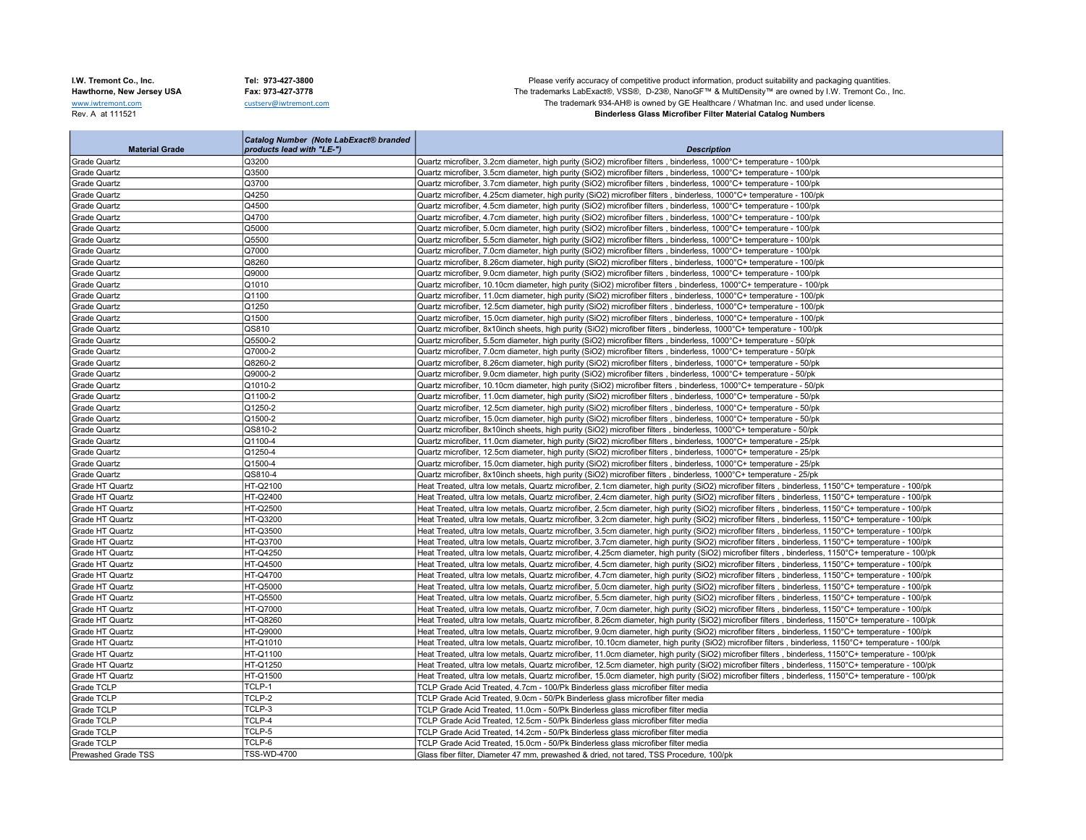I.W. Tremont Co., Inc. Tel: 973-427-3800 Tel: 973-427-3800 Please verify accuracy of competitive product information, product suitability and packaging quantities.<br>Hawthorne, New Jersey USA Fax: 973-427-3778 Fax: 973-427-Hawthorne, New Jersey USA Fax: 973-427-3778 Fax: 973-427-3778 The trademarks LabExact®, VSS®, D-23®, NanoGF™ & MultiDensity™ are owned by I.W. Tremont Co., Inc.<br>We are only of the trademarks LabExact®, VSS®, D-23®, NanoGF www.iwtremont.com custserv@iwtremont.com custserv@iwtremont.com custserv@iwtremont.com custserv@iwtremont.com custserv@iwtremont.com custserv@iwtremont.com custserv@iwtremont.com custserv@iwtremont.com custserv@iwtremont.c **Binderless Glass Microfiber Filter Material Catalog Numbers** 

|                       | <b>Catalog Number (Note LabExact® branded</b> |                                                                                                                                                      |
|-----------------------|-----------------------------------------------|------------------------------------------------------------------------------------------------------------------------------------------------------|
| <b>Material Grade</b> | products lead with "LE-")                     | <b>Description</b>                                                                                                                                   |
| Grade Quartz          | Q3200                                         | Quartz microfiber, 3.2cm diameter, high purity (SiO2) microfiber filters, binderless, 1000°C+ temperature - 100/pk                                   |
| Grade Quartz          | Q3500                                         | Quartz microfiber, 3.5cm diameter, high purity (SiO2) microfiber filters, binderless, 1000°C+ temperature - 100/pk                                   |
| <b>Grade Quartz</b>   | Q3700                                         | Quartz microfiber, 3.7cm diameter, high purity (SiO2) microfiber filters, binderless, 1000°C+ temperature - 100/pk                                   |
| <b>Grade Quartz</b>   | Q4250                                         | Quartz microfiber, 4.25cm diameter, high purity (SiO2) microfiber filters, binderless, 1000°C+ temperature - 100/pk                                  |
| <b>Grade Quartz</b>   | Q4500                                         | Quartz microfiber, 4.5cm diameter, high purity (SiO2) microfiber filters, binderless, 1000°C+ temperature - 100/pk                                   |
| <b>Grade Quartz</b>   | Q4700                                         | Quartz microfiber, 4.7cm diameter, high purity (SiO2) microfiber filters, binderless, 1000°C+ temperature - 100/pk                                   |
| Grade Quartz          | Q5000                                         | Quartz microfiber, 5.0cm diameter, high purity (SiO2) microfiber filters, binderless, 1000°C+ temperature - 100/pk                                   |
| <b>Grade Quartz</b>   | Q5500                                         | Quartz microfiber, 5.5cm diameter, high purity (SiO2) microfiber filters, binderless, 1000°C+ temperature - 100/pk                                   |
| <b>Grade Quartz</b>   | Q7000                                         | Quartz microfiber, 7.0cm diameter, high purity (SiO2) microfiber filters, binderless, 1000°C+ temperature - 100/pk                                   |
| Grade Quartz          | Q8260                                         | Quartz microfiber, 8.26cm diameter, high purity (SiO2) microfiber filters, binderless, 1000°C+ temperature - 100/pk                                  |
| Grade Quartz          | Q9000                                         | Quartz microfiber, 9.0cm diameter, high purity (SiO2) microfiber filters, binderless, 1000°C+ temperature - 100/pk                                   |
| <b>Grade Quartz</b>   | Q1010                                         | Quartz microfiber, 10.10cm diameter, high purity (SiO2) microfiber filters, binderless, 1000°C+ temperature - 100/pk                                 |
| <b>Grade Quartz</b>   | Q1100                                         | Quartz microfiber, 11.0cm diameter, high purity (SiO2) microfiber filters, binderless, 1000°C+ temperature - 100/pk                                  |
| Grade Quartz          | Q1250                                         | Quartz microfiber, 12.5cm diameter, high purity (SiO2) microfiber filters, binderless, 1000°C+ temperature - 100/pk                                  |
| Grade Quartz          | Q1500                                         | Quartz microfiber, 15.0cm diameter, high purity (SiO2) microfiber filters, binderless, 1000°C+ temperature - 100/pk                                  |
| <b>Grade Quartz</b>   | QS810                                         | Quartz microfiber, 8x10inch sheets, high purity (SiO2) microfiber filters, binderless, 1000°C+ temperature - 100/pk                                  |
| Grade Quartz          | Q5500-2                                       | Quartz microfiber, 5.5cm diameter, high purity (SiO2) microfiber filters, binderless, 1000°C+ temperature - 50/pk                                    |
| Grade Quartz          | Q7000-2                                       | Quartz microfiber, 7.0cm diameter, high purity (SiO2) microfiber filters, binderless, 1000°C+ temperature - 50/pk                                    |
| <b>Grade Quartz</b>   | Q8260-2                                       | Quartz microfiber, 8.26cm diameter, high purity (SiO2) microfiber filters, binderless, 1000°C+ temperature - 50/pk                                   |
| <b>Grade Quartz</b>   | Q9000-2                                       | Quartz microfiber, 9.0cm diameter, high purity (SiO2) microfiber filters, binderless, 1000°C+ temperature - 50/pk                                    |
| Grade Quartz          | Q1010-2                                       | Quartz microfiber, 10.10cm diameter, high purity (SiO2) microfiber filters, binderless, 1000°C+ temperature - 50/pk                                  |
| <b>Grade Quartz</b>   | Q1100-2                                       | Quartz microfiber, 11.0cm diameter, high purity (SiO2) microfiber filters, binderless, 1000°C+ temperature - 50/pk                                   |
| Grade Quartz          | Q1250-2                                       | Quartz microfiber, 12.5cm diameter, high purity (SiO2) microfiber filters, binderless, 1000°C+ temperature - 50/pk                                   |
| Grade Quartz          | Q1500-2                                       | Quartz microfiber, 15.0cm diameter, high purity (SiO2) microfiber filters, binderless, 1000°C+ temperature - 50/pk                                   |
| Grade Quartz          | QS810-2                                       | Quartz microfiber, 8x10inch sheets, high purity (SiO2) microfiber filters, binderless, 1000°C+ temperature - 50/pk                                   |
| <b>Grade Quartz</b>   | Q1100-4                                       | Quartz microfiber, 11.0cm diameter, high purity (SiO2) microfiber filters, binderless, 1000°C+ temperature - 25/pk                                   |
| Grade Quartz          | Q1250-4                                       | Quartz microfiber, 12.5cm diameter, high purity (SiO2) microfiber filters, binderless, 1000°C+ temperature - 25/pk                                   |
| Grade Quartz          | Q1500-4                                       | Quartz microfiber, 15.0cm diameter, high purity (SiO2) microfiber filters, binderless, 1000°C+ temperature - 25/pk                                   |
| Grade Quartz          | QS810-4                                       | Quartz microfiber, 8x10inch sheets, high purity (SiO2) microfiber filters, binderless, 1000°C+ temperature - 25/pk                                   |
| Grade HT Quartz       | HT-Q2100                                      | Heat Treated, ultra low metals, Quartz microfiber, 2.1cm diameter, high purity (SiO2) microfiber filters, binderless, 1150°C+ temperature - 100/pk   |
| Grade HT Quartz       | HT-Q2400                                      | Heat Treated, ultra low metals, Quartz microfiber, 2.4cm diameter, high purity (SiO2) microfiber filters, binderless, 1150°C+ temperature - 100/pk   |
| Grade HT Quartz       | HT-Q2500                                      | Heat Treated, ultra low metals, Quartz microfiber, 2.5cm diameter, high purity (SiO2) microfiber filters, binderless, 1150°C+ temperature - 100/pk   |
| Grade HT Quartz       | HT-Q3200                                      | Heat Treated, ultra low metals, Quartz microfiber, 3.2cm diameter, high purity (SiO2) microfiber filters, binderless, 1150°C+ temperature - 100/pk   |
| Grade HT Quartz       | HT-Q3500                                      | Heat Treated, ultra low metals, Quartz microfiber, 3.5cm diameter, high purity (SiO2) microfiber filters, binderless, 1150°C+ temperature - 100/pk   |
| Grade HT Quartz       | HT-Q3700                                      | Heat Treated, ultra low metals, Quartz microfiber, 3.7cm diameter, high purity (SiO2) microfiber filters, binderless, 1150°C+ temperature - 100/pk   |
| Grade HT Quartz       | HT-Q4250                                      | Heat Treated, ultra low metals, Quartz microfiber, 4.25cm diameter, high purity (SiO2) microfiber filters, binderless, 1150°C+ temperature - 100/pk  |
| Grade HT Quartz       | HT-Q4500                                      | Heat Treated, ultra low metals, Quartz microfiber, 4.5cm diameter, high purity (SiO2) microfiber filters, binderless, 1150°C+ temperature - 100/pk   |
| Grade HT Quartz       | HT-Q4700                                      | Heat Treated, ultra low metals, Quartz microfiber, 4.7cm diameter, high purity (SiO2) microfiber filters, binderless, 1150°C+ temperature - 100/pk   |
| Grade HT Quartz       | HT-Q5000                                      | Heat Treated, ultra low metals, Quartz microfiber, 5.0cm diameter, high purity (SiO2) microfiber filters, binderless, 1150°C+ temperature - 100/pk   |
| Grade HT Quartz       | HT-Q5500                                      | Heat Treated, ultra low metals, Quartz microfiber, 5.5cm diameter, high purity (SiO2) microfiber filters, binderless, 1150°C+ temperature - 100/pk   |
| Grade HT Quartz       | HT-Q7000                                      | Heat Treated, ultra low metals, Quartz microfiber, 7.0cm diameter, high purity (SiO2) microfiber filters, binderless, 1150°C+ temperature - 100/pk   |
| Grade HT Quartz       | HT-Q8260                                      | Heat Treated, ultra low metals, Quartz microfiber, 8.26cm diameter, high purity (SiO2) microfiber filters, binderless, 1150°C+ temperature - 100/pk  |
| Grade HT Quartz       | HT-Q9000                                      | Heat Treated, ultra low metals, Quartz microfiber, 9.0cm diameter, high purity (SiO2) microfiber filters, binderless, 1150°C+ temperature - 100/pk   |
| Grade HT Quartz       | HT-Q1010                                      | Heat Treated, ultra low metals, Quartz microfiber, 10.10cm diameter, high purity (SiO2) microfiber filters, binderless, 1150°C+ temperature - 100/pk |
| Grade HT Quartz       | HT-Q1100                                      | Heat Treated, ultra low metals, Quartz microfiber, 11.0cm diameter, high purity (SiO2) microfiber filters, binderless, 1150°C+ temperature - 100/pk  |
| Grade HT Quartz       | HT-Q1250                                      | Heat Treated, ultra low metals, Quartz microfiber, 12.5cm diameter, high purity (SiO2) microfiber filters, binderless, 1150°C+ temperature - 100/pk  |
| Grade HT Quartz       | HT-Q1500                                      | Heat Treated, ultra low metals, Quartz microfiber, 15.0cm diameter, high purity (SiO2) microfiber filters, binderless, 1150°C+ temperature - 100/pk  |
| Grade TCLP            | TCLP-1                                        | TCLP Grade Acid Treated, 4.7cm - 100/Pk Binderless glass microfiber filter media                                                                     |
| Grade TCLP            | TCLP-2                                        | TCLP Grade Acid Treated, 9.0cm - 50/Pk Binderless glass microfiber filter media                                                                      |
| Grade TCLP            | TCLP-3                                        | TCLP Grade Acid Treated, 11.0cm - 50/Pk Binderless glass microfiber filter media                                                                     |
| Grade TCLP            | TCLP-4                                        | TCLP Grade Acid Treated, 12.5cm - 50/Pk Binderless glass microfiber filter media                                                                     |
| Grade TCLP            | TCLP-5                                        | TCLP Grade Acid Treated, 14.2cm - 50/Pk Binderless glass microfiber filter media                                                                     |
| Grade TCLP            | TCLP-6                                        | TCLP Grade Acid Treated, 15.0cm - 50/Pk Binderless glass microfiber filter media                                                                     |
| Prewashed Grade TSS   | <b>TSS-WD-4700</b>                            | Glass fiber filter, Diameter 47 mm, prewashed & dried, not tared, TSS Procedure, 100/pk                                                              |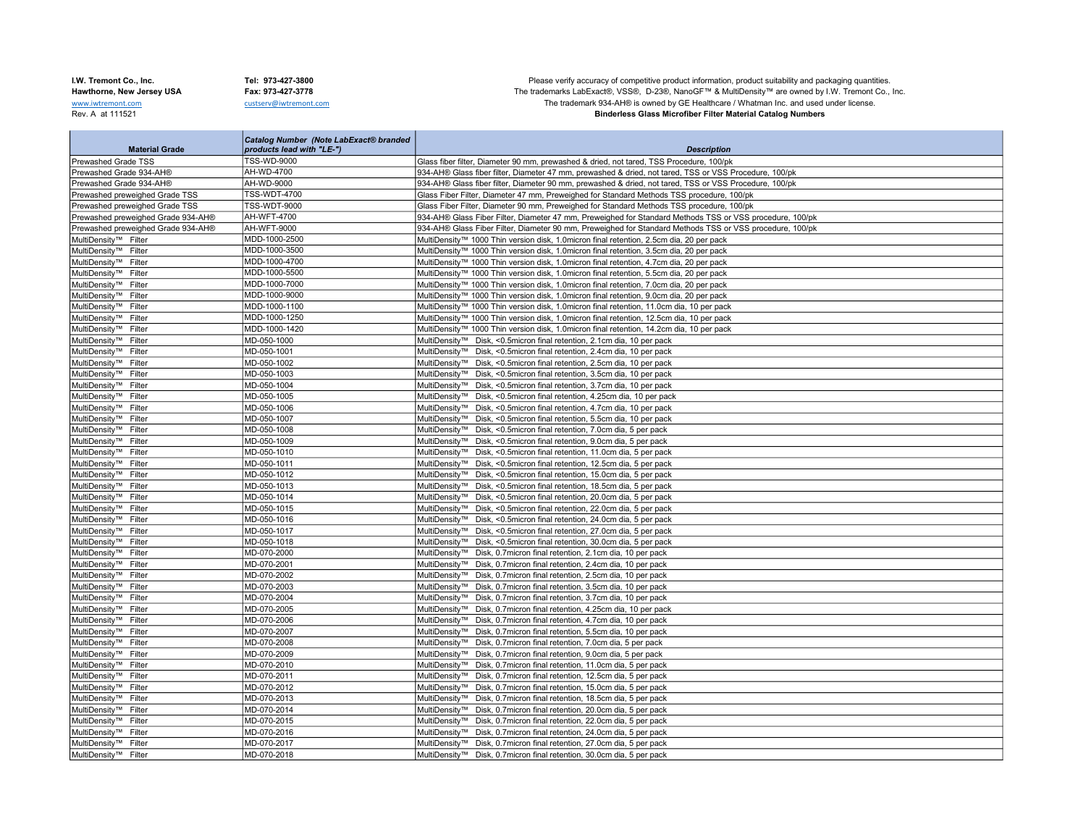**College** 

a ka

I.W. Tremont Co., Inc. Tel: 973-427-3800 Tel: 973-427-3800 Please verify accuracy of competitive product information, product suitability and packaging quantities.<br>Hawthorne, New Jersey USA Fax: 973-427-3778 Fax: 973-427-Hawthorne, New Jersey USA Fax: 973-427-3778 Fax: 973-427-3778 The trademarks LabExact®, VSS®, D-23®, NanoGF™ & MultiDensity™ are owned by I.W. Tremont Co., Inc.<br>We are the trademarks LabExact®, VSS®, D-23®, NanoGF™ & Mult www.iwtremont.com custserv@iwtremont.com custserv@iwtremont.com custserv@iwtremont.com custserv@iwtremont.com custserv@iwtremont.com custserv@iwtremont.com custserv@iwtremont.com custserv@iwtremont.com custserv@iwtremont.c **Binderless Glass Microfiber Filter Material Catalog Numbers** 

۰

|                                              | <b>Catalog Number (Note LabExact® branded</b> |                                                                                                          |
|----------------------------------------------|-----------------------------------------------|----------------------------------------------------------------------------------------------------------|
| <b>Material Grade</b>                        | products lead with "LE-")                     | <b>Description</b>                                                                                       |
| Prewashed Grade TSS                          | TSS-WD-9000                                   | Glass fiber filter, Diameter 90 mm, prewashed & dried, not tared, TSS Procedure, 100/pk                  |
| Prewashed Grade 934-AH®                      | AH-WD-4700                                    | 934-AH® Glass fiber filter, Diameter 47 mm, prewashed & dried, not tared, TSS or VSS Procedure, 100/pk   |
| Prewashed Grade 934-AH®                      | AH-WD-9000                                    | 934-AH® Glass fiber filter, Diameter 90 mm, prewashed & dried, not tared, TSS or VSS Procedure, 100/pk   |
| Prewashed preweighed Grade TSS               | TSS-WDT-4700                                  | Glass Fiber Filter, Diameter 47 mm, Preweighed for Standard Methods TSS procedure, 100/pk                |
| Prewashed preweighed Grade TSS               | <b>TSS-WDT-9000</b>                           | Glass Fiber Filter, Diameter 90 mm, Preweighed for Standard Methods TSS procedure, 100/pk                |
| Prewashed preweighed Grade 934-AH®           | AH-WFT-4700                                   | 934-AH® Glass Fiber Filter, Diameter 47 mm, Preweighed for Standard Methods TSS or VSS procedure, 100/pk |
| Prewashed preweighed Grade 934-AH®           | <b>AH-WFT-9000</b>                            | 934-AH® Glass Fiber Filter, Diameter 90 mm, Preweighed for Standard Methods TSS or VSS procedure, 100/pk |
| MultiDensity™ Filter                         | MDD-1000-2500                                 | MultiDensity™ 1000 Thin version disk, 1.0micron final retention, 2.5cm dia, 20 per pack                  |
| MultiDensity™ Filter                         | MDD-1000-3500                                 | MultiDensity™ 1000 Thin version disk, 1.0micron final retention, 3.5cm dia, 20 per pack                  |
| MultiDensity™ Filter                         | MDD-1000-4700                                 | MultiDensity™ 1000 Thin version disk, 1.0micron final retention, 4.7cm dia, 20 per pack                  |
| MultiDensity™ Filter                         | MDD-1000-5500                                 | MultiDensity™ 1000 Thin version disk, 1.0micron final retention, 5.5cm dia, 20 per pack                  |
| MultiDensity™ Filter                         | MDD-1000-7000                                 | MultiDensity™ 1000 Thin version disk, 1.0micron final retention, 7.0cm dia, 20 per pack                  |
| MultiDensity™ Filter                         | MDD-1000-9000                                 | MultiDensity™ 1000 Thin version disk, 1.0micron final retention, 9.0cm dia, 20 per pack                  |
| MultiDensity <sup>™</sup> Filter             | MDD-1000-1100                                 | MultiDensity™ 1000 Thin version disk, 1.0micron final retention, 11.0cm dia, 10 per pack                 |
| MultiDensity™ Filter                         | MDD-1000-1250                                 | MultiDensity™ 1000 Thin version disk, 1.0micron final retention, 12.5cm dia, 10 per pack                 |
| MultiDensity™ Filter                         | MDD-1000-1420                                 | MultiDensity™ 1000 Thin version disk, 1.0micron final retention, 14.2cm dia, 10 per pack                 |
| MultiDensity™ Filter                         | MD-050-1000                                   | MultiDensity™ Disk, <0.5micron final retention, 2.1cm dia, 10 per pack                                   |
| MultiDensity™ Filter                         | MD-050-1001                                   | MultiDensity™ Disk, <0.5micron final retention, 2.4cm dia, 10 per pack                                   |
| MultiDensity™ Filter                         | MD-050-1002                                   | MultiDensity™ Disk, <0.5micron final retention, 2.5cm dia, 10 per pack                                   |
| MultiDensity™ Filter                         | MD-050-1003                                   | MultiDensity™ Disk, <0.5micron final retention, 3.5cm dia, 10 per pack                                   |
| MultiDensity™ Filter                         | MD-050-1004                                   | MultiDensity™ Disk, <0.5micron final retention, 3.7cm dia, 10 per pack                                   |
| MultiDensity™ Filter                         | MD-050-1005                                   | MultiDensity™ Disk, <0.5micron final retention, 4.25cm dia, 10 per pack                                  |
| MultiDensity <sup>™</sup> Filter             | MD-050-1006                                   | MultiDensity™ Disk, <0.5micron final retention, 4.7cm dia, 10 per pack                                   |
| MultiDensity™ Filter                         | MD-050-1007                                   | MultiDensity™ Disk, <0.5micron final retention, 5.5cm dia, 10 per pack                                   |
| MultiDensity™ Filter                         | MD-050-1008                                   | MultiDensity™ Disk, <0.5micron final retention, 7.0cm dia, 5 per pack                                    |
| MultiDensity™ Filter                         | MD-050-1009                                   | MultiDensity™ Disk, <0.5micron final retention, 9.0cm dia, 5 per pack                                    |
| MultiDensity™ Filter                         | MD-050-1010                                   | MultiDensity™ Disk, <0.5micron final retention, 11.0cm dia, 5 per pack                                   |
| MultiDensity™ Filter                         | MD-050-1011                                   | MultiDensity™ Disk, <0.5micron final retention, 12.5cm dia, 5 per pack                                   |
| MultiDensity™ Filter                         | MD-050-1012                                   | MultiDensity™ Disk, <0.5micron final retention, 15.0cm dia, 5 per pack                                   |
| MultiDensity™ Filter                         | MD-050-1013                                   | MultiDensity™ Disk, <0.5micron final retention, 18.5cm dia, 5 per pack                                   |
| MultiDensity™ Filter                         | MD-050-1014                                   | MultiDensity™ Disk, <0.5micron final retention, 20.0cm dia, 5 per pack                                   |
| MultiDensity™ Filter                         | MD-050-1015                                   | MultiDensity™ Disk, <0.5micron final retention, 22.0cm dia, 5 per pack                                   |
| MultiDensity™ Filter                         | MD-050-1016                                   | MultiDensity™ Disk, <0.5micron final retention, 24.0cm dia, 5 per pack                                   |
| MultiDensity <sup>™</sup> Filter             | MD-050-1017                                   | MultiDensity™ Disk, <0.5micron final retention, 27.0cm dia, 5 per pack                                   |
| MultiDensity™ Filter                         | MD-050-1018                                   | MultiDensity™ Disk, <0.5micron final retention, 30.0cm dia, 5 per pack                                   |
| MultiDensity™ Filter                         | MD-070-2000                                   | MultiDensity™ Disk, 0.7micron final retention, 2.1cm dia, 10 per pack                                    |
| MultiDensity™ Filter                         | MD-070-2001                                   | MultiDensity™ Disk, 0.7micron final retention, 2.4cm dia, 10 per pack                                    |
| MultiDensity™ Filter                         | MD-070-2002                                   | MultiDensity™ Disk, 0.7micron final retention, 2.5cm dia, 10 per pack                                    |
| MultiDensitv™ Filter                         | MD-070-2003                                   | MultiDensity™ Disk, 0.7micron final retention, 3.5cm dia, 10 per pack                                    |
| MultiDensity™ Filter                         | MD-070-2004                                   | MultiDensity™ Disk, 0.7micron final retention, 3.7cm dia, 10 per pack                                    |
| MultiDensity™ Filter                         | MD-070-2005                                   | MultiDensity™ Disk, 0.7 micron final retention, 4.25cm dia, 10 per pack                                  |
| MultiDensity™ Filter                         | MD-070-2006                                   | MultiDensity™ Disk, 0.7micron final retention, 4.7cm dia, 10 per pack                                    |
| MultiDensity™ Filter                         | MD-070-2007                                   | MultiDensity™ Disk, 0.7micron final retention, 5.5cm dia, 10 per pack                                    |
| MultiDensity™ Filter                         | MD-070-2008                                   | MultiDensity™ Disk, 0.7micron final retention, 7.0cm dia, 5 per pack                                     |
| MultiDensity™ Filter                         | MD-070-2009                                   | MultiDensity™ Disk, 0.7micron final retention, 9.0cm dia, 5 per pack                                     |
| MultiDensity™ Filter                         | MD-070-2010                                   | MultiDensity™ Disk, 0.7micron final retention, 11.0cm dia, 5 per pack                                    |
| MultiDensity™ Filter                         | MD-070-2011                                   | MultiDensity™ Disk, 0.7micron final retention, 12.5cm dia, 5 per pack                                    |
| MultiDensity™ Filter                         | MD-070-2012                                   | MultiDensity™ Disk, 0.7micron final retention, 15.0cm dia, 5 per pack                                    |
| MultiDensity™ Filter                         | MD-070-2013                                   | MultiDensity™ Disk, 0.7micron final retention, 18.5cm dia, 5 per pack                                    |
| MultiDensity™ Filter                         | MD-070-2014                                   | MultiDensity™ Disk, 0.7micron final retention, 20.0cm dia, 5 per pack                                    |
|                                              |                                               | MultiDensity™ Disk, 0.7micron final retention, 22.0cm dia, 5 per pack                                    |
| MultiDensity™ Filter<br>MultiDensity™ Filter | MD-070-2015                                   | MultiDensity™ Disk, 0.7micron final retention, 24.0cm dia, 5 per pack                                    |
| MultiDensity™ Filter                         | MD-070-2016<br>MD-070-2017                    | MultiDensity™ Disk, 0.7micron final retention, 27.0cm dia, 5 per pack                                    |
|                                              |                                               |                                                                                                          |
| MultiDensity™ Filter                         | MD-070-2018                                   | MultiDensity™ Disk, 0.7micron final retention, 30.0cm dia, 5 per pack                                    |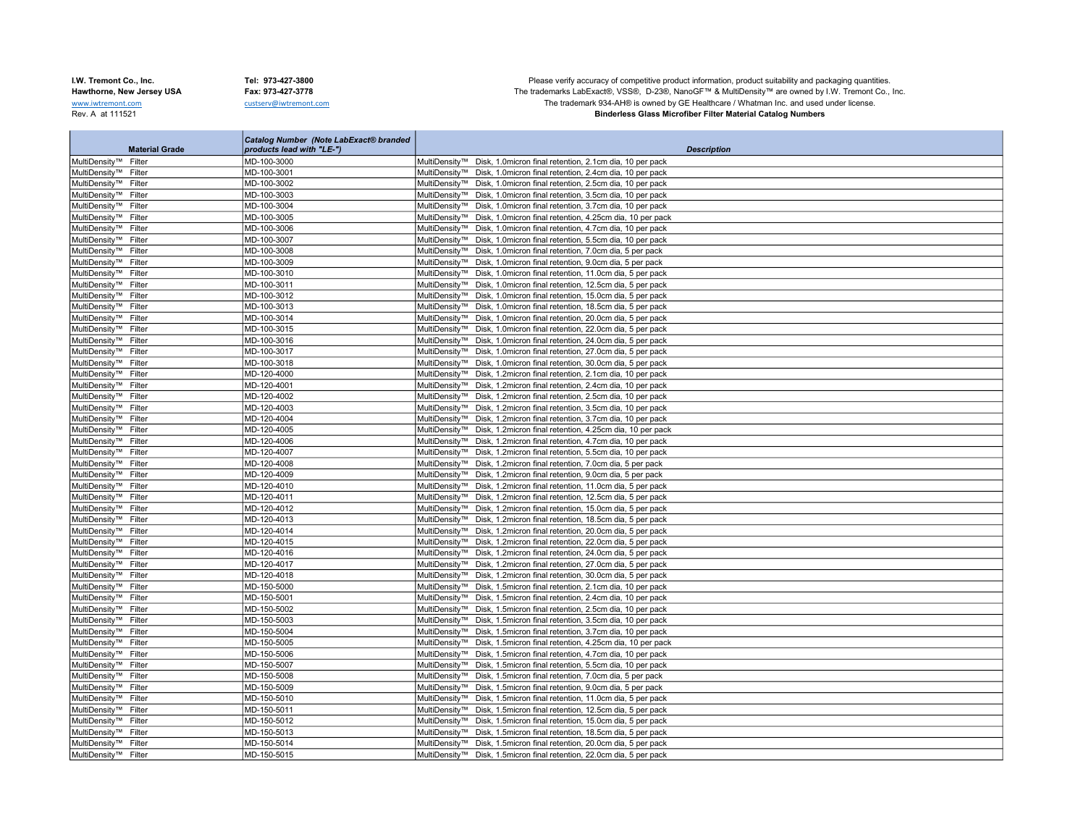п

Catalog Number (Note LabExact® branded

I.W. Tremont Co., Inc. Tel: 973-427-3800 Tel: 973-427-3800 Please verify accuracy of competitive product information, product suitability and packaging quantities.<br>Hawthorne, New Jersey USA Fax: 973-427-3778 Fax: 973-427-Hawthorne, New Jersey USA Fax: 973-427-3778 Fax: 973-427-3778 The trademarks LabExact®, VSS®, D-23®, NanoGF™ & MultiDensity™ are owned by I.W. Tremont Co., Inc.<br>We are the trademarks LabExact®, VSS®, D-23®, NanoGF™ & Mult www.iwtremont.com custserv@iwtremont.com custserv@iwtremont.com custserv@iwtremont.com custserv@iwtremont.com custserv@iwtremont.com custserv@iwtremont.com custserv@iwtremont.com custserv@iwtremont.com custserv@iwtremont.c **Binderless Glass Microfiber Filter Material Catalog Numbers** 

| <b>Material Grade</b>                        | catalog ivumber (ivote LabExact® branded<br>products lead with "LE-") | <b>Description</b>                                                                                                                             |
|----------------------------------------------|-----------------------------------------------------------------------|------------------------------------------------------------------------------------------------------------------------------------------------|
|                                              | MD-100-3000                                                           |                                                                                                                                                |
| MultiDensity™ Filter<br>MultiDensity™ Filter | MD-100-3001                                                           | MultiDensity™ Disk, 1.0micron final retention, 2.1cm dia, 10 per pack                                                                          |
| MultiDensity™ Filter                         | MD-100-3002                                                           | MultiDensity™ Disk, 1.0micron final retention, 2.4cm dia, 10 per pack<br>MultiDensity™ Disk, 1.0micron final retention, 2.5cm dia, 10 per pack |
|                                              |                                                                       |                                                                                                                                                |
| MultiDensity™ Filter                         | MD-100-3003                                                           | MultiDensity™ Disk, 1.0micron final retention, 3.5cm dia, 10 per pack                                                                          |
| MultiDensity™ Filter                         | MD-100-3004                                                           | MultiDensity™ Disk, 1.0micron final retention, 3.7cm dia, 10 per pack                                                                          |
| MultiDensity™ Filter                         | MD-100-3005                                                           | MultiDensity™ Disk, 1.0micron final retention, 4.25cm dia, 10 per pack                                                                         |
| MultiDensity™ Filter                         | MD-100-3006                                                           | MultiDensity™ Disk, 1.0micron final retention, 4.7cm dia, 10 per pack                                                                          |
| MultiDensity™ Filter                         | MD-100-3007                                                           | MultiDensity™ Disk, 1.0micron final retention, 5.5cm dia, 10 per pack                                                                          |
| MultiDensity™ Filter                         | MD-100-3008                                                           | MultiDensity™ Disk, 1.0micron final retention, 7.0cm dia, 5 per pack                                                                           |
| MultiDensity™ Filter                         | MD-100-3009                                                           | MultiDensity™ Disk, 1.0micron final retention, 9.0cm dia, 5 per pack                                                                           |
| MultiDensity™ Filter                         | MD-100-3010                                                           | MultiDensity™ Disk, 1.0micron final retention, 11.0cm dia, 5 per pack                                                                          |
| MultiDensity™ Filter                         | MD-100-3011                                                           | MultiDensity™ Disk, 1.0micron final retention, 12.5cm dia, 5 per pack                                                                          |
| MultiDensity™ Filter                         | MD-100-3012                                                           | MultiDensity™ Disk, 1.0micron final retention, 15.0cm dia, 5 per pack                                                                          |
| MultiDensity™ Filter                         | MD-100-3013                                                           | MultiDensity™ Disk, 1.0micron final retention, 18.5cm dia, 5 per pack                                                                          |
| MultiDensity™ Filter                         | MD-100-3014                                                           | MultiDensity™ Disk, 1.0micron final retention, 20.0cm dia, 5 per pack                                                                          |
| MultiDensity™ Filter                         | MD-100-3015                                                           | MultiDensity™ Disk, 1.0micron final retention, 22.0cm dia, 5 per pack                                                                          |
| MultiDensity™ Filter                         | MD-100-3016                                                           | MultiDensity™ Disk, 1.0micron final retention, 24.0cm dia, 5 per pack                                                                          |
| MultiDensity™ Filter                         | MD-100-3017                                                           | MultiDensity™ Disk, 1.0micron final retention, 27.0cm dia, 5 per pack                                                                          |
| MultiDensity™ Filter                         | MD-100-3018                                                           | MultiDensity™ Disk, 1.0micron final retention, 30.0cm dia, 5 per pack                                                                          |
| MultiDensity™ Filter                         | MD-120-4000                                                           | MultiDensity™ Disk, 1.2micron final retention, 2.1cm dia, 10 per pack                                                                          |
| MultiDensity™ Filter                         | MD-120-4001                                                           | MultiDensity™ Disk, 1.2micron final retention, 2.4cm dia, 10 per pack                                                                          |
| MultiDensity™ Filter                         | MD-120-4002                                                           | MultiDensity™ Disk, 1.2micron final retention, 2.5cm dia, 10 per pack                                                                          |
| MultiDensity™ Filter                         | MD-120-4003                                                           | MultiDensity™ Disk, 1.2micron final retention, 3.5cm dia, 10 per pack                                                                          |
| MultiDensity™ Filter                         | MD-120-4004                                                           | MultiDensity™ Disk, 1.2micron final retention, 3.7cm dia, 10 per pack                                                                          |
| MultiDensity™ Filter                         | MD-120-4005                                                           | MultiDensity™ Disk, 1.2micron final retention, 4.25cm dia, 10 per pack                                                                         |
| MultiDensity™ Filter                         | MD-120-4006                                                           | MultiDensity™ Disk, 1.2micron final retention, 4.7cm dia, 10 per pack                                                                          |
| MultiDensity™ Filter                         | MD-120-4007                                                           | MultiDensity™ Disk, 1.2micron final retention, 5.5cm dia, 10 per pack                                                                          |
| MultiDensity™ Filter                         | MD-120-4008                                                           | MultiDensity™ Disk, 1.2micron final retention, 7.0cm dia, 5 per pack                                                                           |
| MultiDensity™ Filter                         | MD-120-4009                                                           | MultiDensity™ Disk, 1.2micron final retention, 9.0cm dia, 5 per pack                                                                           |
| MultiDensity™ Filter                         | MD-120-4010                                                           | MultiDensity™ Disk, 1.2micron final retention, 11.0cm dia, 5 per pack                                                                          |
| MultiDensity™ Filter                         | MD-120-4011                                                           | MultiDensity™ Disk, 1.2micron final retention, 12.5cm dia, 5 per pack                                                                          |
| MultiDensity™ Filter                         | MD-120-4012                                                           | MultiDensity™ Disk, 1.2micron final retention, 15.0cm dia, 5 per pack                                                                          |
| MultiDensity™ Filter                         | MD-120-4013                                                           | MultiDensity™ Disk, 1.2micron final retention, 18.5cm dia, 5 per pack                                                                          |
| MultiDensity™ Filter                         | MD-120-4014                                                           | MultiDensity™ Disk, 1.2micron final retention, 20.0cm dia, 5 per pack                                                                          |
| MultiDensity™ Filter                         | MD-120-4015                                                           | MultiDensity™ Disk, 1.2micron final retention, 22.0cm dia, 5 per pack                                                                          |
| MultiDensity™ Filter                         | MD-120-4016                                                           | MultiDensity™ Disk, 1.2micron final retention, 24.0cm dia, 5 per pack                                                                          |
| MultiDensity™ Filter                         | MD-120-4017                                                           | MultiDensity™ Disk, 1.2micron final retention, 27.0cm dia, 5 per pack                                                                          |
| MultiDensity™ Filter                         | MD-120-4018                                                           | MultiDensity™ Disk, 1.2micron final retention, 30.0cm dia, 5 per pack                                                                          |
| MultiDensity™ Filter                         | MD-150-5000                                                           | MultiDensity™ Disk, 1.5micron final retention, 2.1cm dia, 10 per pack                                                                          |
| MultiDensity™ Filter                         | MD-150-5001                                                           | MultiDensity™ Disk, 1.5micron final retention, 2.4cm dia, 10 per pack                                                                          |
| MultiDensity™ Filter                         | MD-150-5002                                                           | MultiDensity™ Disk, 1.5micron final retention, 2.5cm dia, 10 per pack                                                                          |
| MultiDensity™ Filter                         | MD-150-5003                                                           | MultiDensity™ Disk, 1.5micron final retention, 3.5cm dia, 10 per pack                                                                          |
| MultiDensity™ Filter                         | MD-150-5004                                                           | MultiDensity™ Disk, 1.5micron final retention, 3.7cm dia, 10 per pack                                                                          |
| MultiDensity™ Filter                         | MD-150-5005                                                           | MultiDensity™ Disk, 1.5micron final retention, 4.25cm dia, 10 per pack                                                                         |
| MultiDensity™ Filter                         | MD-150-5006                                                           | MultiDensity™ Disk, 1.5micron final retention, 4.7cm dia, 10 per pack                                                                          |
| MultiDensity™ Filter                         | MD-150-5007                                                           | MultiDensity™ Disk, 1.5micron final retention, 5.5cm dia, 10 per pack                                                                          |
| MultiDensity™ Filter                         | MD-150-5008                                                           | MultiDensity™ Disk, 1.5micron final retention, 7.0cm dia, 5 per pack                                                                           |
| MultiDensity™ Filter                         | MD-150-5009                                                           | MultiDensity™ Disk, 1.5micron final retention, 9.0cm dia, 5 per pack                                                                           |
| MultiDensity™ Filter                         | MD-150-5010                                                           | MultiDensity™ Disk, 1.5micron final retention, 11.0cm dia, 5 per pack                                                                          |
| MultiDensity™ Filter                         | MD-150-5011                                                           | MultiDensity™ Disk, 1.5micron final retention, 12.5cm dia, 5 per pack                                                                          |
| MultiDensity™ Filter                         | MD-150-5012                                                           | MultiDensity™ Disk, 1.5micron final retention, 15.0cm dia, 5 per pack                                                                          |
| MultiDensity™ Filter                         | MD-150-5013                                                           | MultiDensity™ Disk, 1.5micron final retention, 18.5cm dia, 5 per pack                                                                          |
| MultiDensity™ Filter                         | MD-150-5014                                                           | MultiDensity™ Disk, 1.5micron final retention, 20.0cm dia, 5 per pack                                                                          |
| MultiDensity™ Filter                         | MD-150-5015                                                           | MultiDensity™ Disk, 1.5micron final retention, 22.0cm dia, 5 per pack                                                                          |